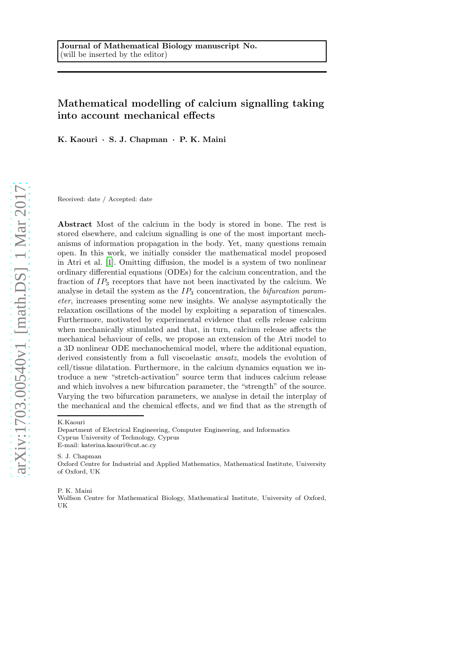# Mathematical modelling of calcium signalling taking into account mechanical effects

K. Kaouri · S. J. Chapman · P. K. Maini

Received: date / Accepted: date

Abstract Most of the calcium in the body is stored in bone. The rest is stored elsewhere, and calcium signalling is one of the most important mechanisms of information propagation in the body. Yet, many questions remain open. In this work, we initially consider the mathematical model proposed in Atri et al. [\[1\]](#page-34-0). Omitting diffusion, the model is a system of two nonlinear ordinary differential equations (ODEs) for the calcium concentration, and the fraction of  $IP_3$  receptors that have not been inactivated by the calcium. We analyse in detail the system as the  $IP_3$  concentration, the bifurcation parameter, increases presenting some new insights. We analyse asymptotically the relaxation oscillations of the model by exploiting a separation of timescales. Furthermore, motivated by experimental evidence that cells release calcium when mechanically stimulated and that, in turn, calcium release affects the mechanical behaviour of cells, we propose an extension of the Atri model to a 3D nonlinear ODE mechanochemical model, where the additional equation, derived consistently from a full viscoelastic ansatz, models the evolution of cell/tissue dilatation. Furthermore, in the calcium dynamics equation we introduce a new "stretch-activation" source term that induces calcium release and which involves a new bifurcation parameter, the "strength" of the source. Varying the two bifurcation parameters, we analyse in detail the interplay of the mechanical and the chemical effects, and we find that as the strength of

K.Kaouri

E-mail: katerina.kaouri@cut.ac.cy

S. J. Chapman

P. K. Maini

Department of Electrical Engineering, Computer Engineering, and Informatics Cyprus University of Technology, Cyprus

Oxford Centre for Industrial and Applied Mathematics, Mathematical Institute, University of Oxford, UK

Wolfson Centre for Mathematical Biology, Mathematical Institute, University of Oxford, UK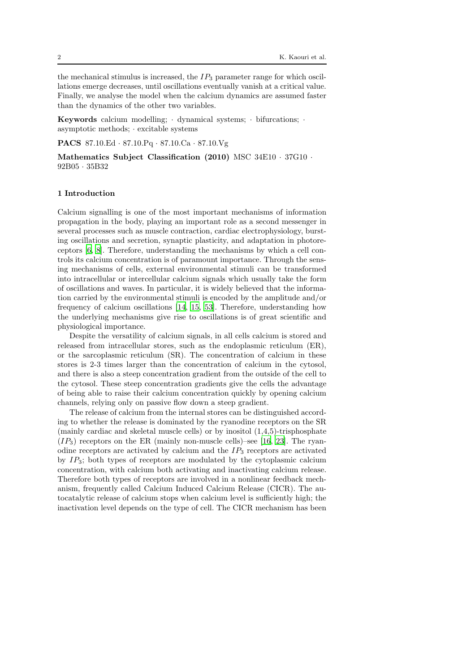the mechanical stimulus is increased, the  $IP_3$  parameter range for which oscillations emerge decreases, until oscillations eventually vanish at a critical value. Finally, we analyse the model when the calcium dynamics are assumed faster than the dynamics of the other two variables.

Keywords calcium modelling;  $\cdot$  dynamical systems;  $\cdot$  bifurcations;  $\cdot$ asymptotic methods; · excitable systems

PACS 87.10.Ed · 87.10.Pq · 87.10.Ca · 87.10.Vg

Mathematics Subject Classification (2010) MSC 34E10 · 37G10 · 92B05 · 35B32

### <span id="page-1-0"></span>1 Introduction

Calcium signalling is one of the most important mechanisms of information propagation in the body, playing an important role as a second messenger in several processes such as muscle contraction, cardiac electrophysiology, bursting oscillations and secretion, synaptic plasticity, and adaptation in photoreceptors [\[6](#page-34-1), [8\]](#page-34-2). Therefore, understanding the mechanisms by which a cell controls its calcium concentration is of paramount importance. Through the sensing mechanisms of cells, external environmental stimuli can be transformed into intracellular or intercellular calcium signals which usually take the form of oscillations and waves. In particular, it is widely believed that the information carried by the environmental stimuli is encoded by the amplitude and/or frequency of calcium oscillations [\[14,](#page-35-0) [15](#page-35-1), [53\]](#page-37-0). Therefore, understanding how the underlying mechanisms give rise to oscillations is of great scientific and physiological importance.

Despite the versatility of calcium signals, in all cells calcium is stored and released from intracellular stores, such as the endoplasmic reticulum (ER), or the sarcoplasmic reticulum (SR). The concentration of calcium in these stores is 2-3 times larger than the concentration of calcium in the cytosol, and there is also a steep concentration gradient from the outside of the cell to the cytosol. These steep concentration gradients give the cells the advantage of being able to raise their calcium concentration quickly by opening calcium channels, relying only on passive flow down a steep gradient.

The release of calcium from the internal stores can be distinguished according to whether the release is dominated by the ryanodine receptors on the SR (mainly cardiac and skeletal muscle cells) or by inositol  $(1,4,5)$ -trisphosphate  $(IP_3)$  receptors on the ER (mainly non-muscle cells)–see [\[16](#page-35-2), [23\]](#page-35-3). The ryanodine receptors are activated by calcium and the  $IP_3$  receptors are activated by  $IP_3$ ; both types of receptors are modulated by the cytoplasmic calcium concentration, with calcium both activating and inactivating calcium release. Therefore both types of receptors are involved in a nonlinear feedback mechanism, frequently called Calcium Induced Calcium Release (CICR). The autocatalytic release of calcium stops when calcium level is sufficiently high; the inactivation level depends on the type of cell. The CICR mechanism has been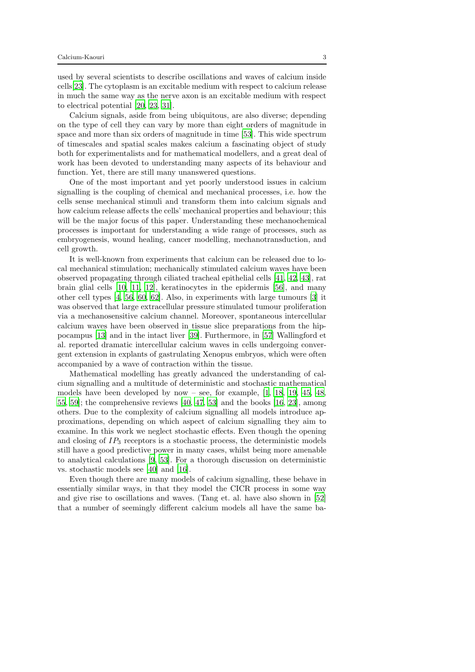used by several scientists to describe oscillations and waves of calcium inside cells[\[23](#page-35-3)]. The cytoplasm is an excitable medium with respect to calcium release in much the same way as the nerve axon is an excitable medium with respect to electrical potential [\[20](#page-35-4), [23](#page-35-3), [31](#page-36-0)].

Calcium signals, aside from being ubiquitous, are also diverse; depending on the type of cell they can vary by more than eight orders of magnitude in space and more than six orders of magnitude in time [\[53\]](#page-37-0). This wide spectrum of timescales and spatial scales makes calcium a fascinating object of study both for experimentalists and for mathematical modellers, and a great deal of work has been devoted to understanding many aspects of its behaviour and function. Yet, there are still many unanswered questions.

One of the most important and yet poorly understood issues in calcium signalling is the coupling of chemical and mechanical processes, i.e. how the cells sense mechanical stimuli and transform them into calcium signals and how calcium release affects the cells' mechanical properties and behaviour; this will be the major focus of this paper. Understanding these mechanochemical processes is important for understanding a wide range of processes, such as embryogenesis, wound healing, cancer modelling, mechanotransduction, and cell growth.

It is well-known from experiments that calcium can be released due to local mechanical stimulation; mechanically stimulated calcium waves have been observed propagating through ciliated tracheal epithelial cells [\[41,](#page-36-1) [42,](#page-36-2) [43](#page-36-3)], rat brain glial cells [\[10,](#page-34-3) [11,](#page-35-5) [12](#page-35-6)], keratinocytes in the epidermis [\[56](#page-37-1)], and many other cell types [\[4](#page-34-4), [56,](#page-37-1) [60,](#page-37-2) [62\]](#page-37-3). Also, in experiments with large tumours [\[3\]](#page-34-5) it was observed that large extracellular pressure stimulated tumour proliferation via a mechanosensitive calcium channel. Moreover, spontaneous intercellular calcium waves have been observed in tissue slice preparations from the hippocampus [\[13\]](#page-35-7) and in the intact liver [\[39\]](#page-36-4). Furthermore, in [\[57\]](#page-37-4) Wallingford et al. reported dramatic intercellular calcium waves in cells undergoing convergent extension in explants of gastrulating Xenopus embryos, which were often accompanied by a wave of contraction within the tissue.

Mathematical modelling has greatly advanced the understanding of calcium signalling and a multitude of deterministic and stochastic mathematical models have been developed by now – see, for example,  $[1, 18, 19, 45, 48,$  $[1, 18, 19, 45, 48,$  $[1, 18, 19, 45, 48,$  $[1, 18, 19, 45, 48,$  $[1, 18, 19, 45, 48,$  $[1, 18, 19, 45, 48,$ [55,](#page-37-6) [59](#page-37-7)]; the comprehensive reviews [\[40,](#page-36-6) [47,](#page-37-8) [53\]](#page-37-0) and the books [\[16,](#page-35-2) [23](#page-35-3)], among others. Due to the complexity of calcium signalling all models introduce approximations, depending on which aspect of calcium signalling they aim to examine. In this work we neglect stochastic effects. Even though the opening and closing of  $IP_3$  receptors is a stochastic process, the deterministic models still have a good predictive power in many cases, whilst being more amenable to analytical calculations [\[9,](#page-34-6) [53](#page-37-0)]. For a thorough discussion on deterministic vs. stochastic models see [\[40\]](#page-36-6) and [\[16\]](#page-35-2).

Even though there are many models of calcium signalling, these behave in essentially similar ways, in that they model the CICR process in some way and give rise to oscillations and waves. (Tang et. al. have also shown in [\[52\]](#page-37-9) that a number of seemingly different calcium models all have the same ba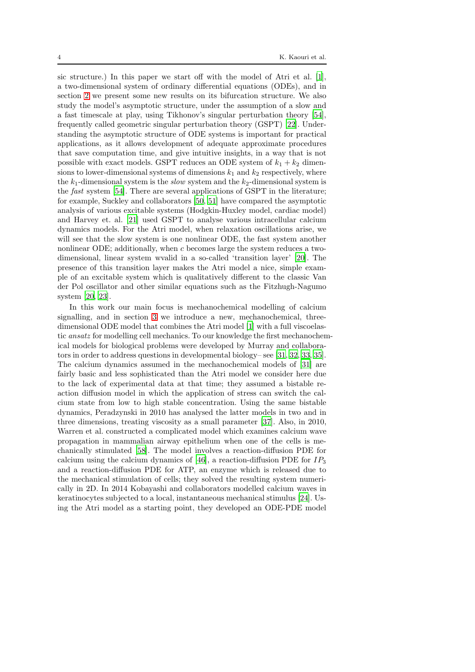sic structure.) In this paper we start off with the model of Atri et al. [\[1](#page-34-0)], a two-dimensional system of ordinary differential equations (ODEs), and in section [2](#page-4-0) we present some new results on its bifurcation structure. We also study the model's asymptotic structure, under the assumption of a slow and a fast timescale at play, using Tikhonov's singular perturbation theory [\[54](#page-37-10)], frequently called geometric singular perturbation theory (GSPT) [\[22\]](#page-35-10). Understanding the asymptotic structure of ODE systems is important for practical applications, as it allows development of adequate approximate procedures that save computation time, and give intuitive insights, in a way that is not possible with exact models. GSPT reduces an ODE system of  $k_1 + k_2$  dimensions to lower-dimensional systems of dimensions  $k_1$  and  $k_2$  respectively, where the  $k_1$ -dimensional system is the *slow* system and the  $k_2$ -dimensional system is the fast system [\[54](#page-37-10)]. There are several applications of GSPT in the literature; for example, Suckley and collaborators [\[50](#page-37-11), [51\]](#page-37-12) have compared the asymptotic analysis of various excitable systems (Hodgkin-Huxley model, cardiac model) and Harvey et. al. [\[21](#page-35-11)] used GSPT to analyse various intracellular calcium dynamics models. For the Atri model, when relaxation oscillations arise, we will see that the slow system is one nonlinear ODE, the fast system another nonlinear ODE; additionally, when c becomes large the system reduces a twodimensional, linear system wvalid in a so-called 'transition layer' [\[20\]](#page-35-4). The presence of this transition layer makes the Atri model a nice, simple example of an excitable system which is qualitatively different to the classic Van der Pol oscillator and other similar equations such as the Fitzhugh-Nagumo system [\[20,](#page-35-4) [23\]](#page-35-3).

In this work our main focus is mechanochemical modelling of calcium signalling, and in section [3](#page-16-0) we introduce a new, mechanochemical, threedimensional ODE model that combines the Atri model [\[1](#page-34-0)] with a full viscoelastic ansatz for modelling cell mechanics. To our knowledge the first mechanochemical models for biological problems were developed by Murray and collaborators in order to address questions in developmental biology– see [\[31,](#page-36-0) [32,](#page-36-7) [33](#page-36-8), [35](#page-36-9)]. The calcium dynamics assumed in the mechanochemical models of [\[31](#page-36-0)] are fairly basic and less sophisticated than the Atri model we consider here due to the lack of experimental data at that time; they assumed a bistable reaction diffusion model in which the application of stress can switch the calcium state from low to high stable concentration. Using the same bistable dynamics, Peradzynski in 2010 has analysed the latter models in two and in three dimensions, treating viscosity as a small parameter [\[37](#page-36-10)]. Also, in 2010, Warren et al. constructed a complicated model which examines calcium wave propagation in mammalian airway epithelium when one of the cells is mechanically stimulated [\[58](#page-37-13)]. The model involves a reaction-diffusion PDE for calcium using the calcium dynamics of [\[46\]](#page-36-11), a reaction-diffusion PDE for  $IP_3$ and a reaction-diffusion PDE for ATP, an enzyme which is released due to the mechanical stimulation of cells; they solved the resulting system numerically in 2D. In 2014 Kobayashi and collaborators modelled calcium waves in keratinocytes subjected to a local, instantaneous mechanical stimulus [\[24\]](#page-35-12). Using the Atri model as a starting point, they developed an ODE-PDE model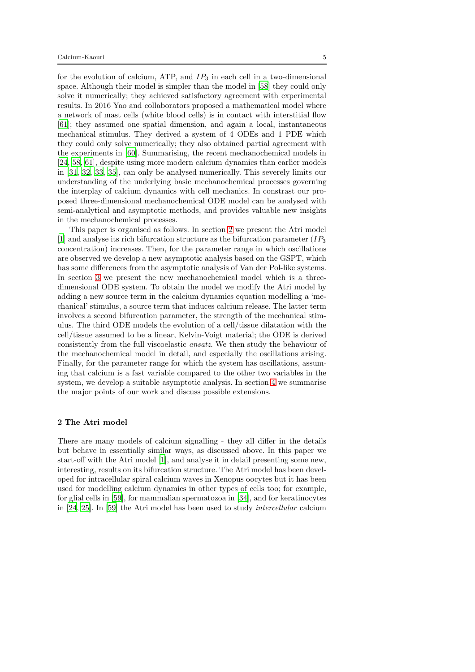for the evolution of calcium, ATP, and  $IP_3$  in each cell in a two-dimensional space. Although their model is simpler than the model in [\[58\]](#page-37-13) they could only solve it numerically; they achieved satisfactory agreement with experimental results. In 2016 Yao and collaborators proposed a mathematical model where a network of mast cells (white blood cells) is in contact with interstitial flow [\[61\]](#page-37-14); they assumed one spatial dimension, and again a local, instantaneous mechanical stimulus. They derived a system of 4 ODEs and 1 PDE which they could only solve numerically; they also obtained partial agreement with the experiments in [\[60\]](#page-37-2). Summarising, the recent mechanochemical models in [\[24,](#page-35-12) [58,](#page-37-13) [61\]](#page-37-14), despite using more modern calcium dynamics than earlier models in [\[31,](#page-36-0) [32,](#page-36-7) [33](#page-36-8), [35\]](#page-36-9), can only be analysed numerically. This severely limits our understanding of the underlying basic mechanochemical processes governing the interplay of calcium dynamics with cell mechanics. In constrast our proposed three-dimensional mechanochemical ODE model can be analysed with semi-analytical and asymptotic methods, and provides valuable new insights in the mechanochemical processes.

This paper is organised as follows. In section [2](#page-4-0) we present the Atri model [\[1\]](#page-34-0) and analyse its rich bifurcation structure as the bifurcation parameter  $(IP_3)$ concentration) increases. Then, for the parameter range in which oscillations are observed we develop a new asymptotic analysis based on the GSPT, which has some differences from the asymptotic analysis of Van der Pol-like systems. In section [3](#page-16-0) we present the new mechanochemical model which is a threedimensional ODE system. To obtain the model we modify the Atri model by adding a new source term in the calcium dynamics equation modelling a 'mechanical' stimulus, a source term that induces calcium release. The latter term involves a second bifurcation parameter, the strength of the mechanical stimulus. The third ODE models the evolution of a cell/tissue dilatation with the cell/tissue assumed to be a linear, Kelvin-Voigt material; the ODE is derived consistently from the full viscoelastic ansatz. We then study the behaviour of the mechanochemical model in detail, and especially the oscillations arising. Finally, for the parameter range for which the system has oscillations, assuming that calcium is a fast variable compared to the other two variables in the system, we develop a suitable asymptotic analysis. In section [4](#page-32-0) we summarise the major points of our work and discuss possible extensions.

### <span id="page-4-0"></span>2 The Atri model

There are many models of calcium signalling - they all differ in the details but behave in essentially similar ways, as discussed above. In this paper we start-off with the Atri model [\[1](#page-34-0)], and analyse it in detail presenting some new, interesting, results on its bifurcation structure. The Atri model has been developed for intracellular spiral calcium waves in Xenopus oocytes but it has been used for modelling calcium dynamics in other types of cells too; for example, for glial cells in [\[59](#page-37-7)], for mammalian spermatozoa in [\[34\]](#page-36-12), and for keratinocytes in [\[24,](#page-35-12) [25\]](#page-35-13). In [\[59](#page-37-7)] the Atri model has been used to study intercellular calcium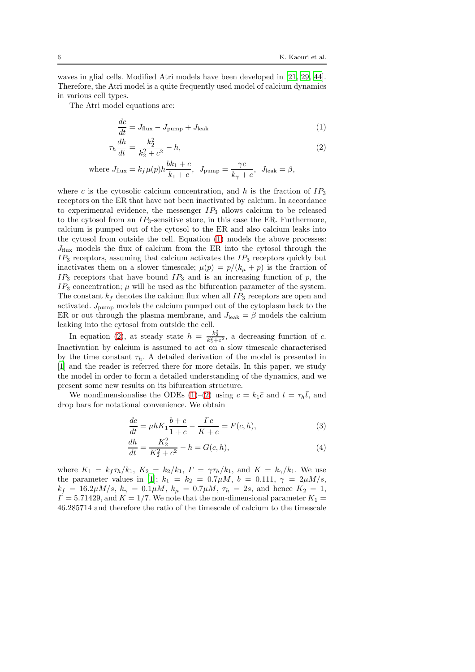waves in glial cells. Modified Atri models have been developed in [\[21](#page-35-11), [29](#page-36-13), [44](#page-36-14)]. Therefore, the Atri model is a quite frequently used model of calcium dynamics in various cell types.

The Atri model equations are:

<span id="page-5-1"></span><span id="page-5-0"></span>
$$
\frac{dc}{dt} = J_{\text{flux}} - J_{\text{pump}} + J_{\text{leak}} \tag{1}
$$

$$
\tau_h \frac{dh}{dt} = \frac{k_2^2}{k_2^2 + c^2} - h,\tag{2}
$$

where 
$$
J_{\text{flux}} = k_f \mu(p) h \frac{bk_1 + c}{k_1 + c}
$$
,  $J_{\text{pump}} = \frac{\gamma c}{k_{\gamma} + c}$ ,  $J_{\text{leak}} = \beta$ ,

where c is the cytosolic calcium concentration, and h is the fraction of  $IP_3$ receptors on the ER that have not been inactivated by calcium. In accordance to experimental evidence, the messenger  $IP_3$  allows calcium to be released to the cytosol from an  $IP_3$ -sensitive store, in this case the ER. Furthermore, calcium is pumped out of the cytosol to the ER and also calcium leaks into the cytosol from outside the cell. Equation [\(1\)](#page-5-0) models the above processes:  $J_{\text{flux}}$  models the flux of calcium from the ER into the cytosol through the  $IP_3$  receptors, assuming that calcium activates the  $IP_3$  receptors quickly but inactivates them on a slower timescale;  $\mu(p) = p/(k_{\mu} + p)$  is the fraction of  $IP_3$  receptors that have bound  $IP_3$  and is an increasing function of p, the  $IP_3$  concentration;  $\mu$  will be used as the bifurcation parameter of the system. The constant  $k_f$  denotes the calcium flux when all  $IP_3$  receptors are open and activated. Jpump models the calcium pumped out of the cytoplasm back to the ER or out through the plasma membrane, and  $J_{\text{leak}} = \beta$  models the calcium leaking into the cytosol from outside the cell.

In equation [\(2\)](#page-5-1), at steady state  $h = \frac{k_2^2}{k_2^2 + c^2}$ , a decreasing function of c. Inactivation by calcium is assumed to act on a slow timescale characterised by the time constant  $\tau_h$ . A detailed derivation of the model is presented in [\[1\]](#page-34-0) and the reader is referred there for more details. In this paper, we study the model in order to form a detailed understanding of the dynamics, and we present some new results on its bifurcation structure.

We nondimensionalise the ODEs [\(1\)](#page-5-0)–[\(2\)](#page-5-1) using  $c = k_1 \bar{c}$  and  $t = \tau_h \bar{t}$ , and drop bars for notational convenience. We obtain

<span id="page-5-3"></span><span id="page-5-2"></span>
$$
\frac{dc}{dt} = \mu h K_1 \frac{b+c}{1+c} - \frac{\Gamma c}{K+c} = F(c, h),\tag{3}
$$

$$
\frac{dh}{dt} = \frac{K_2^2}{K_2^2 + c^2} - h = G(c, h),\tag{4}
$$

where  $K_1 = k_f \tau_h / k_1$ ,  $K_2 = k_2 / k_1$ ,  $\Gamma = \gamma \tau_h / k_1$ , and  $K = k_{\gamma}/k_1$ . We use the parameter values in [\[1](#page-34-0)];  $k_1 = k_2 = 0.7 \mu M$ ,  $b = 0.111$ ,  $\gamma = 2 \mu M/s$ ,  $k_f = 16.2 \mu M/s$ ,  $k_\gamma = 0.1 \mu M$ ,  $k_\mu = 0.7 \mu M$ ,  $\tau_h = 2s$ , and hence  $K_2 = 1$ ,  $\Gamma = 5.71429$ , and  $K = 1/7$ . We note that the non-dimensional parameter  $K_1 =$ 46.285714 and therefore the ratio of the timescale of calcium to the timescale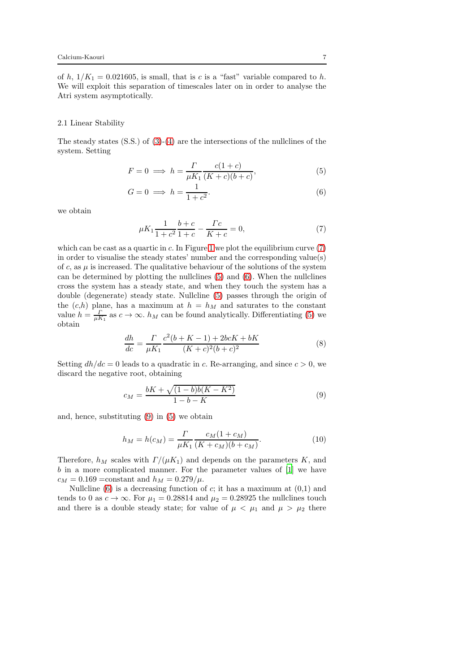of h,  $1/K_1 = 0.021605$ , is small, that is c is a "fast" variable compared to h. We will exploit this separation of timescales later on in order to analyse the Atri system asymptotically.

### 2.1 Linear Stability

The steady states (S.S.) of [\(3\)](#page-5-2)-[\(4\)](#page-5-3) are the intersections of the nullclines of the system. Setting

$$
F = 0 \implies h = \frac{\Gamma}{\mu K_1} \frac{c(1+c)}{(K+c)(b+c)},\tag{5}
$$

$$
G = 0 \implies h = \frac{1}{1 + c^2}.\tag{6}
$$

we obtain

<span id="page-6-2"></span><span id="page-6-1"></span><span id="page-6-0"></span>
$$
\mu K_1 \frac{1}{1+c^2} \frac{b+c}{1+c} - \frac{\Gamma c}{K+c} = 0,\tag{7}
$$

which can be cast as a quartic in  $c$ . In Figure [1](#page-7-0) we plot the equilibrium curve  $(7)$ in order to visualise the steady states' number and the corresponding value(s) of c, as  $\mu$  is increased. The qualitative behaviour of the solutions of the system can be determined by plotting the nullclines [\(5\)](#page-6-1) and [\(6\)](#page-6-2). When the nullclines cross the system has a steady state, and when they touch the system has a double (degenerate) steady state. Nullcline [\(5\)](#page-6-1) passes through the origin of the  $(c,h)$  plane, has a maximum at  $h = h<sub>M</sub>$  and saturates to the constant value  $h = \frac{\Gamma}{\mu K_1}$  as  $c \to \infty$ .  $h_M$  can be found analytically. Differentiating [\(5\)](#page-6-1) we obtain

$$
\frac{dh}{dc} = \frac{\Gamma}{\mu K_1} \frac{c^2(b+K-1) + 2bcK + bK}{(K+c)^2(b+c)^2} \tag{8}
$$

Setting  $dh/dc = 0$  leads to a quadratic in c. Re-arranging, and since  $c > 0$ , we discard the negative root, obtaining

<span id="page-6-3"></span>
$$
c_M = \frac{bK + \sqrt{(1-b)b(K-K^2)}}{1-b-K}
$$
\n(9)

and, hence, substituting [\(9\)](#page-6-3) in [\(5\)](#page-6-1) we obtain

$$
h_M = h(c_M) = \frac{\Gamma}{\mu K_1} \frac{c_M (1 + c_M)}{(K + c_M)(b + c_M)}.
$$
\n(10)

Therefore,  $h_M$  scales with  $\Gamma/(\mu K_1)$  and depends on the parameters K, and b in a more complicated manner. For the parameter values of [\[1\]](#page-34-0) we have  $c_M = 0.169 = \text{constant}$  and  $h_M = 0.279/\mu$ .

Nullcline [\(6\)](#page-6-2) is a decreasing function of  $c$ ; it has a maximum at  $(0,1)$  and tends to 0 as  $c \to \infty$ . For  $\mu_1 = 0.28814$  and  $\mu_2 = 0.28925$  the nullclines touch and there is a double steady state; for value of  $\mu < \mu_1$  and  $\mu > \mu_2$  there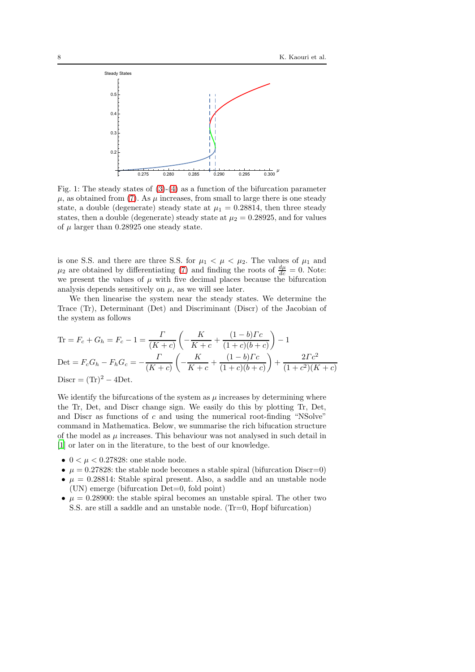<span id="page-7-0"></span>

Fig. 1: The steady states of  $(3)-(4)$  $(3)-(4)$  as a function of the bifurcation parameter  $\mu$ , as obtained from [\(7\)](#page-6-0). As  $\mu$  increases, from small to large there is one steady state, a double (degenerate) steady state at  $\mu_1 = 0.28814$ , then three steady states, then a double (degenerate) steady state at  $\mu_2 = 0.28925$ , and for values of  $\mu$  larger than 0.28925 one steady state.

is one S.S. and there are three S.S. for  $\mu_1 < \mu < \mu_2$ . The values of  $\mu_1$  and  $\mu_2$  are obtained by differentiating [\(7\)](#page-6-0) and finding the roots of  $\frac{d\mu}{dc} = 0$ . Note: we present the values of  $\mu$  with five decimal places because the bifurcation analysis depends sensitively on  $\mu$ , as we will see later.

We then linearise the system near the steady states. We determine the Trace (Tr), Determinant (Det) and Discriminant (Discr) of the Jacobian of the system as follows

$$
\text{Tr} = F_c + G_h = F_c - 1 = \frac{\Gamma}{(K+c)} \left( -\frac{K}{K+c} + \frac{(1-b)\Gamma c}{(1+c)(b+c)} \right) - 1
$$
\n
$$
\text{Det} = F_c G_h - F_h G_c = -\frac{\Gamma}{(K+c)} \left( -\frac{K}{K+c} + \frac{(1-b)\Gamma c}{(1+c)(b+c)} \right) + \frac{2\Gamma c^2}{(1+c^2)(K+c)}
$$
\n
$$
\text{Discr} = (\text{Tr})^2 - 4\text{Det}.
$$

We identify the bifurcations of the system as  $\mu$  increases by determining where the Tr, Det, and Discr change sign. We easily do this by plotting Tr, Det, and Discr as functions of  $c$  and using the numerical root-finding "NSolve" command in Mathematica. Below, we summarise the rich bifucation structure of the model as  $\mu$  increases. This behaviour was not analysed in such detail in [\[1\]](#page-34-0) or later on in the literature, to the best of our knowledge.

- $0 < \mu < 0.27828$ : one stable node.
- $\mu = 0.27828$ : the stable node becomes a stable spiral (bifurcation Discr=0)
- $\mu = 0.28814$ : Stable spiral present. Also, a saddle and an unstable node (UN) emerge (bifurcation Det=0, fold point)
- $\mu = 0.28900$ : the stable spiral becomes an unstable spiral. The other two S.S. are still a saddle and an unstable node. (Tr=0, Hopf bifurcation)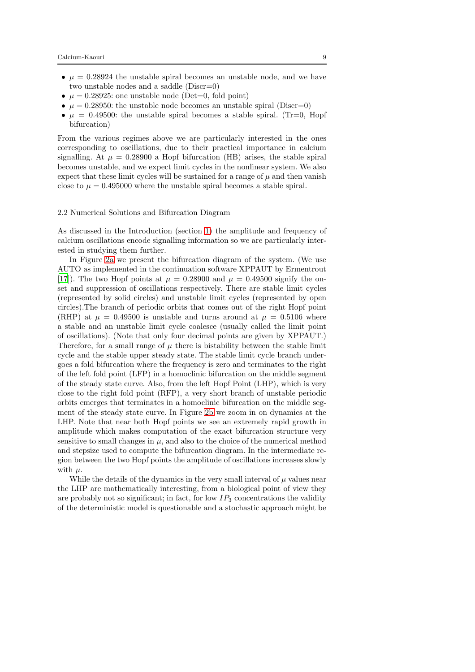- $\mu = 0.28924$  the unstable spiral becomes an unstable node, and we have two unstable nodes and a saddle (Discr=0)
- $\mu = 0.28925$ : one unstable node (Det=0, fold point)
- $\mu = 0.28950$ : the unstable node becomes an unstable spiral (Discr=0)
- $\mu = 0.49500$ : the unstable spiral becomes a stable spiral. (Tr=0, Hopf bifurcation)

From the various regimes above we are particularly interested in the ones corresponding to oscillations, due to their practical importance in calcium signalling. At  $\mu = 0.28900$  a Hopf bifurcation (HB) arises, the stable spiral becomes unstable, and we expect limit cycles in the nonlinear system. We also expect that these limit cycles will be sustained for a range of  $\mu$  and then vanish close to  $\mu = 0.495000$  where the unstable spiral becomes a stable spiral.

### 2.2 Numerical Solutions and Bifurcation Diagram

As discussed in the Introduction (section [1\)](#page-1-0) the amplitude and frequency of calcium oscillations encode signalling information so we are particularly interested in studying them further.

In Figure [2a](#page-10-0) we present the bifurcation diagram of the system. (We use AUTO as implemented in the continuation software XPPAUT by Ermentrout [\[17\]](#page-35-14)). The two Hopf points at  $\mu = 0.28900$  and  $\mu = 0.49500$  signify the onset and suppression of oscillations respectively. There are stable limit cycles (represented by solid circles) and unstable limit cycles (represented by open circles).The branch of periodic orbits that comes out of the right Hopf point (RHP) at  $\mu = 0.49500$  is unstable and turns around at  $\mu = 0.5106$  where a stable and an unstable limit cycle coalesce (usually called the limit point of oscillations). (Note that only four decimal points are given by XPPAUT.) Therefore, for a small range of  $\mu$  there is bistability between the stable limit cycle and the stable upper steady state. The stable limit cycle branch undergoes a fold bifurcation where the frequency is zero and terminates to the right of the left fold point (LFP) in a homoclinic bifurcation on the middle segment of the steady state curve. Also, from the left Hopf Point (LHP), which is very close to the right fold point (RFP), a very short branch of unstable periodic orbits emerges that terminates in a homoclinic bifurcation on the middle segment of the steady state curve. In Figure [2b](#page-10-0) we zoom in on dynamics at the LHP. Note that near both Hopf points we see an extremely rapid growth in amplitude which makes computation of the exact bifurcation structure very sensitive to small changes in  $\mu$ , and also to the choice of the numerical method and stepsize used to compute the bifurcation diagram. In the intermediate region between the two Hopf points the amplitude of oscillations increases slowly with  $\mu$ .

While the details of the dynamics in the very small interval of  $\mu$  values near the LHP are mathematically interesting, from a biological point of view they are probably not so significant; in fact, for low  $IP_3$  concentrations the validity of the deterministic model is questionable and a stochastic approach might be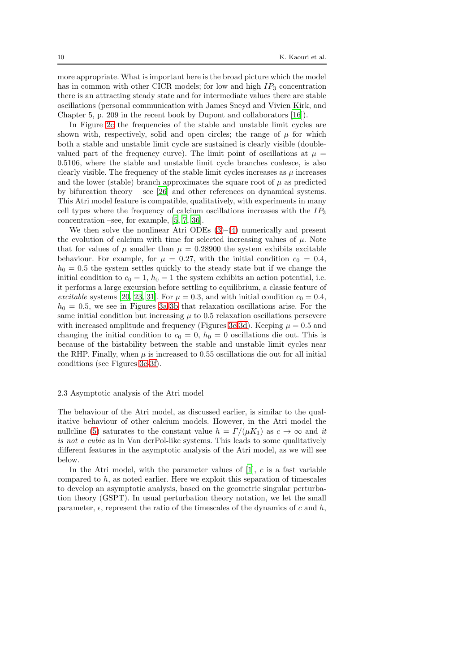more appropriate. What is important here is the broad picture which the model has in common with other CICR models; for low and high  $IP_3$  concentration there is an attracting steady state and for intermediate values there are stable oscillations (personal communication with James Sneyd and Vivien Kirk, and Chapter 5, p. 209 in the recent book by Dupont and collaborators [\[16\]](#page-35-2)).

In Figure [2c](#page-10-0) the frequencies of the stable and unstable limit cycles are shown with, respectively, solid and open circles; the range of  $\mu$  for which both a stable and unstable limit cycle are sustained is clearly visible (doublevalued part of the frequency curve). The limit point of oscillations at  $\mu =$ 0.5106, where the stable and unstable limit cycle branches coalesce, is also clearly visible. The frequency of the stable limit cycles increases as  $\mu$  increases and the lower (stable) branch approximates the square root of  $\mu$  as predicted by bifurcation theory – see  $[26]$  and other references on dynamical systems. This Atri model feature is compatible, qualitatively, with experiments in many cell types where the frequency of calcium oscillations increases with the  $IP_3$ concentration –see, for example, [\[5,](#page-34-7) [7,](#page-34-8) [36](#page-36-15)].

We then solve the nonlinear Atri ODEs  $(3)$ – $(4)$  numerically and present the evolution of calcium with time for selected increasing values of  $\mu$ . Note that for values of  $\mu$  smaller than  $\mu = 0.28900$  the system exhibits excitable behaviour. For example, for  $\mu = 0.27$ , with the initial condition  $c_0 = 0.4$ ,  $h_0 = 0.5$  the system settles quickly to the steady state but if we change the initial condition to  $c_0 = 1$ ,  $h_0 = 1$  the system exhibits an action potential, i.e. it performs a large excursion before settling to equilibrium, a classic feature of excitable systems [\[20](#page-35-4), [23,](#page-35-3) [31\]](#page-36-0). For  $\mu = 0.3$ , and with initial condition  $c_0 = 0.4$ ,  $h_0 = 0.5$ , we see in Figures [3a-3b](#page-11-0) that relaxation oscillations arise. For the same initial condition but increasing  $\mu$  to 0.5 relaxation oscillations persevere with increased amplitude and frequency (Figures [3c-3d\)](#page-11-0). Keeping  $\mu = 0.5$  and changing the initial condition to  $c_0 = 0$ ,  $h_0 = 0$  oscillations die out. This is because of the bistability between the stable and unstable limit cycles near the RHP. Finally, when  $\mu$  is increased to 0.55 oscillations die out for all initial conditions (see Figures [3e-3f\)](#page-11-0).

### 2.3 Asymptotic analysis of the Atri model

The behaviour of the Atri model, as discussed earlier, is similar to the qualitative behaviour of other calcium models. However, in the Atri model the nullcline [\(5\)](#page-6-1) saturates to the constant value  $h = \Gamma/(\mu K_1)$  as  $c \to \infty$  and it is not a cubic as in Van derPol-like systems. This leads to some qualitatively different features in the asymptotic analysis of the Atri model, as we will see below.

In the Atri model, with the parameter values of  $[1]$ , c is a fast variable compared to h, as noted earlier. Here we exploit this separation of timescales to develop an asymptotic analysis, based on the geometric singular perturbation theory (GSPT). In usual perturbation theory notation, we let the small parameter,  $\epsilon$ , represent the ratio of the timescales of the dynamics of c and h,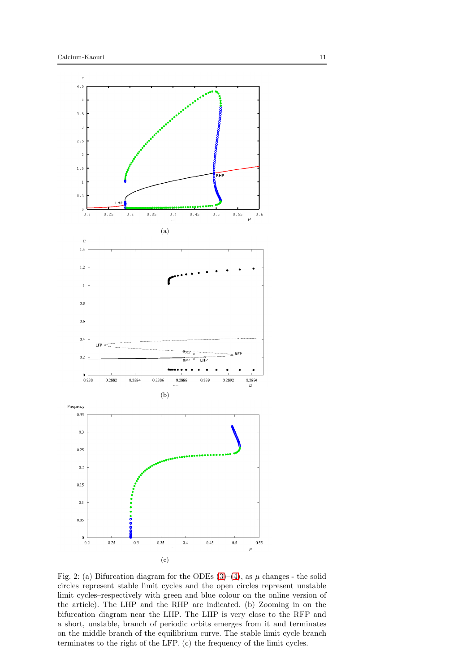<span id="page-10-0"></span>

Fig. 2: (a) Bifurcation diagram for the ODEs  $(3)-(4)$  $(3)-(4)$ , as  $\mu$  changes - the solid circles represent stable limit cycles and the open circles represent unstable limit cycles–respectively with green and blue colour on the online version of the article). The LHP and the RHP are indicated. (b) Zooming in on the bifurcation diagram near the LHP. The LHP is very close to the RFP and a short, unstable, branch of periodic orbits emerges from it and terminates on the middle branch of the equilibrium curve. The stable limit cycle branch terminates to the right of the LFP. (c) the frequency of the limit cycles.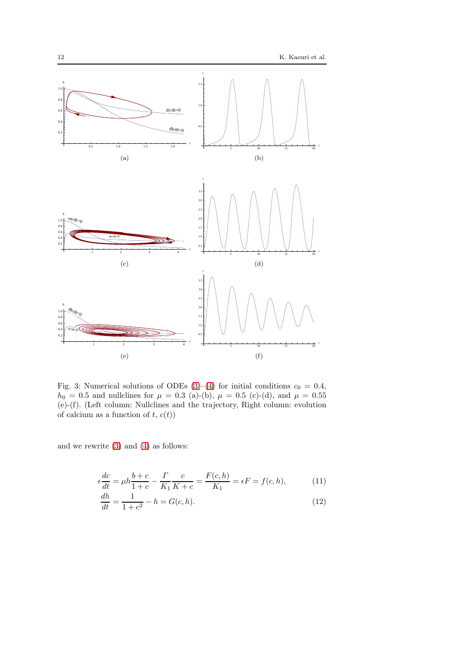<span id="page-11-0"></span>

Fig. 3: Numerical solutions of ODEs [\(3\)](#page-5-2)–[\(4\)](#page-5-3) for initial conditions  $c_0 = 0.4$ ,  $h_0 = 0.5$  and nullclines for  $\mu = 0.3$  (a)-(b),  $\mu = 0.5$  (c)-(d), and  $\mu = 0.55$ (e)-(f). (Left column: Nullclines and the trajectory, Right column: evolution of calcium as a function of  $t, c(t)$ 

and we rewrite [\(3\)](#page-5-2) and [\(4\)](#page-5-3) as follows:

$$
\epsilon \frac{dc}{dt} = \mu h \frac{b+c}{1+c} - \frac{\Gamma}{K_1} \frac{c}{K+c} = \frac{F(c,h)}{K_1} = \epsilon F = f(c,h),
$$
 (11)

<span id="page-11-2"></span><span id="page-11-1"></span>
$$
\frac{dh}{dt} = \frac{1}{1+c^2} - h = G(c, h). \tag{12}
$$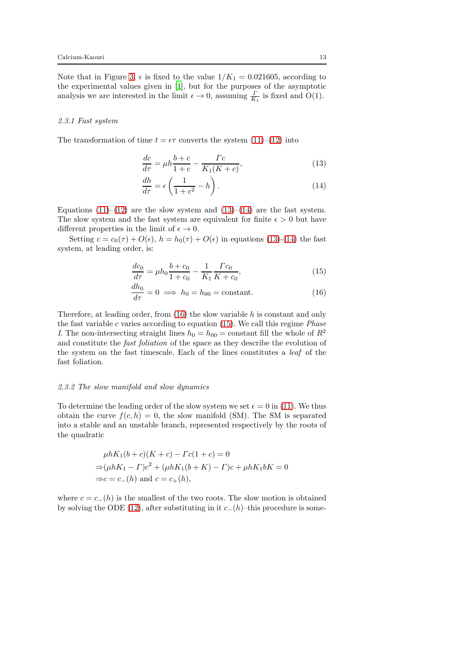Note that in Figure [3,](#page-11-0)  $\epsilon$  is fixed to the value  $1/K_1 = 0.021605$ , according to the experimental values given in [\[1\]](#page-34-0), but for the purposes of the asymptotic analysis we are interested in the limit  $\epsilon \to 0$ , assuming  $\frac{\Gamma}{K_1}$  is fixed and O(1).

### 2.3.1 Fast system

The transformation of time  $t = \epsilon \tau$  converts the system [\(11\)](#page-11-1)–[\(12\)](#page-11-2) into

<span id="page-12-0"></span>
$$
\frac{dc}{d\tau} = \mu h \frac{b+c}{1+c} - \frac{\Gamma c}{K_1(K+c)},\tag{13}
$$

<span id="page-12-1"></span>
$$
\frac{dh}{d\tau} = \epsilon \left( \frac{1}{1+c^2} - h \right). \tag{14}
$$

Equations  $(11)$ – $(12)$  are the slow system and  $(13)$ – $(14)$  are the fast system. The slow system and the fast system are equivalent for finite  $\epsilon > 0$  but have different properties in the limit of  $\epsilon \to 0$ .

Setting  $c = c_0(\tau) + O(\epsilon)$ ,  $h = h_0(\tau) + O(\epsilon)$  in equations [\(13\)](#page-12-0)-[\(14\)](#page-12-1) the fast system, at leading order, is:

<span id="page-12-3"></span>
$$
\frac{dc_0}{d\tau} = \mu h_0 \frac{b + c_0}{1 + c_0} - \frac{1}{K_1} \frac{\Gamma c_0}{K + c_0},\tag{15}
$$

<span id="page-12-2"></span>
$$
\frac{dh_0}{d\tau} = 0 \implies h_0 = h_{00} = \text{constant.} \tag{16}
$$

Therefore, at leading order, from [\(16\)](#page-12-2) the slow variable h is constant and only the fast variable  $c$  varies according to equation [\(15\)](#page-12-3). We call this regime *Phase* I. The non-intersecting straight lines  $h_0 = h_{00} = \text{constant}$  fill the whole of  $R^2$ and constitute the fast foliation of the space as they describe the evolution of the system on the fast timescale. Each of the lines constitutes a leaf of the fast foliation.

#### 2.3.2 The slow manifold and slow dynamics

To determine the leading order of the slow system we set  $\epsilon = 0$  in [\(11\)](#page-11-1). We thus obtain the curve  $f(c, h) = 0$ , the slow manifold (SM). The SM is separated into a stable and an unstable branch, represented respectively by the roots of the quadratic

$$
\mu h K_1(b+c)(K+c) - \Gamma c(1+c) = 0
$$
  
\n
$$
\Rightarrow (\mu h K_1 - \Gamma)c^2 + (\mu h K_1(b+K) - \Gamma)c + \mu h K_1 bK = 0
$$
  
\n
$$
\Rightarrow c = c_-(h) \text{ and } c = c_+(h),
$$

where  $c = c_-(h)$  is the smallest of the two roots. The slow motion is obtained by solving the ODE [\(12\)](#page-11-2), after substituting in it  $c_-(h)$ –this procedure is some-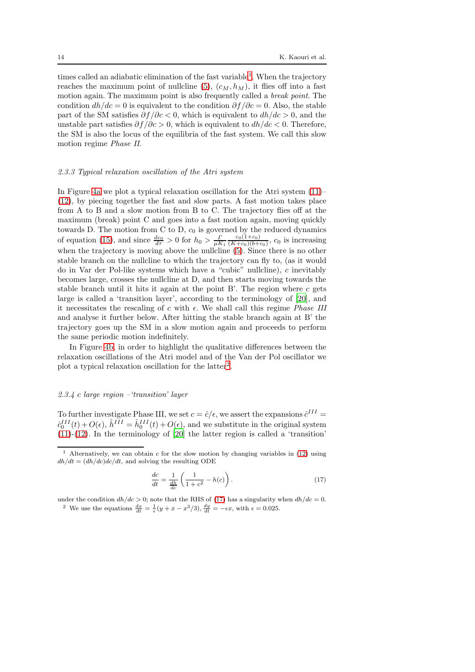times called an adiabatic elimination of the fast variable<sup>[1](#page-13-0)</sup>. When the trajectory reaches the maximum point of nullcline [\(5\)](#page-6-1),  $(c_M, h_M)$ , it flies off into a fast motion again. The maximum point is also frequently called a *break point*. The condition  $dh/dc = 0$  is equivalent to the condition  $\partial f/\partial c = 0$ . Also, the stable part of the SM satisfies  $\partial f / \partial c < 0$ , which is equivalent to  $dh / dc > 0$ , and the unstable part satisfies  $\partial f / \partial c > 0$ , which is equivalent to  $dh / dc < 0$ . Therefore, the SM is also the locus of the equilibria of the fast system. We call this slow motion regime Phase II.

### 2.3.3 Typical relaxation oscillation of the Atri system

In Figure [4a](#page-14-0) we plot a typical relaxation oscillation for the Atri system [\(11\)](#page-11-1)– [\(12\)](#page-11-2), by piecing together the fast and slow parts. A fast motion takes place from A to B and a slow motion from B to C. The trajectory flies off at the maximum (break) point C and goes into a fast motion again, moving quickly towards D. The motion from C to D,  $c_0$  is governed by the reduced dynamics of equation [\(15\)](#page-12-3), and since  $\frac{dc_0}{d\tau} > 0$  for  $h_0 > \frac{\Gamma}{\mu K_1}$  $c_0(1+c_0)$  $\frac{c_0(1+c_0)}{(K+c_0)(b+c_0)}, c_0$  is increasing when the trajectory is moving above the nullcline  $(5)$ . Since there is no other stable branch on the nullcline to which the trajectory can fly to, (as it would do in Var der Pol-like systems which have a "cubic" nullcline), c inevitably becomes large, crosses the nullcline at D, and then starts moving towards the stable branch until it hits it again at the point  $B'$ . The region where c gets large is called a 'transition layer', according to the terminology of [\[20](#page-35-4)], and it necessitates the rescaling of c with  $\epsilon$ . We shall call this regime *Phase III* and analyse it further below. After hitting the stable branch again at B' the trajectory goes up the SM in a slow motion again and proceeds to perform the same periodic motion indefinitely.

In Figure [4b,](#page-14-0) in order to highlight the qualitative differences between the relaxation oscillations of the Atri model and of the Van der Pol oscillator we plot a typical relaxation oscillation for the latter<sup>[2](#page-13-1)</sup>.

### 2.3.4 c large region –'transition' layer

To further investigate Phase III, we set  $c = \hat{c}/\epsilon$ , we assert the expansions  $\hat{c}^{III}$  =  $\hat{c}_0^{III}(t) + O(\epsilon)$ ,  $\hat{h}^{III} = \hat{h}_0^{III}(t) + O(\epsilon)$ , and we substitute in the original system  $(11)-(12)$  $(11)-(12)$  $(11)-(12)$ . In the terminology of  $[20]$  the latter region is called a 'transition'

<span id="page-13-2"></span>
$$
\frac{dc}{dt} = \frac{1}{\frac{dh}{dc}} \left( \frac{1}{1+c^2} - h(c) \right). \tag{17}
$$

<span id="page-13-1"></span>under the condition  $dh/dc > 0$ ; note that the RHS of [\(17\)](#page-13-2) has a singularity when  $dh/dc = 0$ . <sup>2</sup> We use the equations  $\frac{dx}{dt} = \frac{1}{\epsilon}(y + x - x^3/3), \frac{dy}{dt} = -\epsilon x$ , with  $\epsilon = 0.025$ .

<span id="page-13-0"></span><sup>&</sup>lt;sup>1</sup> Alternatively, we can obtain c for the slow motion by changing variables in [\(12\)](#page-11-2) using  $dh/dt = (dh/dc)dc/dt$ , and solving the resulting ODE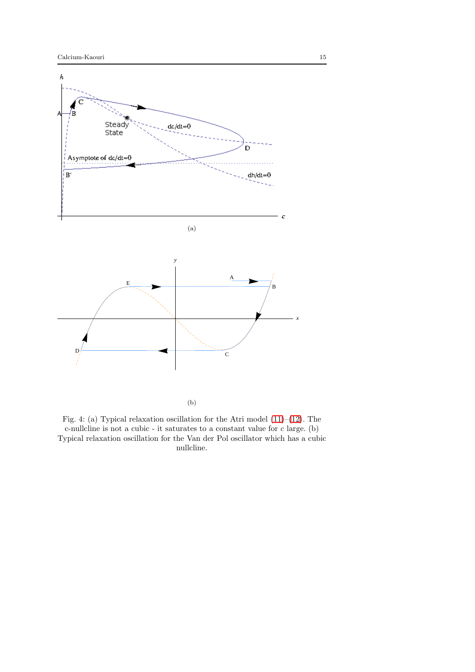<span id="page-14-0"></span>

(b)

Fig. 4: (a) Typical relaxation oscillation for the Atri model [\(11\)](#page-11-1)–[\(12\)](#page-11-2). The c-nullcline is not a cubic - it saturates to a constant value for  $c$  large. (b) Typical relaxation oscillation for the Van der Pol oscillator which has a cubic nullcline.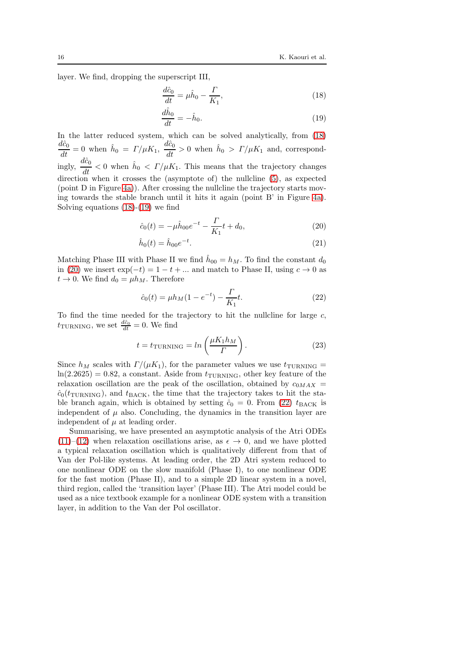layer. We find, dropping the superscript III,

<span id="page-15-0"></span>
$$
\frac{d\hat{c}_0}{dt} = \mu \hat{h}_0 - \frac{\Gamma}{K_1},\tag{18}
$$

<span id="page-15-1"></span>
$$
\frac{d\hat{h}_0}{dt} = -\hat{h}_0. \tag{19}
$$

In the latter reduced system, which can be solved analytically, from [\(18\)](#page-15-0)  $\frac{d\hat{c}_0}{dt} = 0$  when  $\hat{h}_0 = \Gamma/\mu K_1$ ,  $\frac{d\hat{c}_0}{dt} > 0$  when  $\hat{h}_0 > \Gamma/\mu K_1$  and, correspondingly,  $\frac{d\hat{c}_0}{dt} < 0$  when  $\hat{h}_0 < \Gamma/\mu K_1$ . This means that the trajectory changes direction when it crosses the (asymptote of) the nullcline [\(5\)](#page-6-1), as expected (point D in Figure [4a\)](#page-14-0)). After crossing the nullcline the trajectory starts moving towards the stable branch until it hits it again (point B' in Figure [4a\)](#page-14-0). Solving equations [\(18\)](#page-15-0)-[\(19\)](#page-15-1) we find

<span id="page-15-2"></span>
$$
\hat{c}_0(t) = -\mu \hat{h}_{00} e^{-t} - \frac{\Gamma}{K_1} t + d_0, \qquad (20)
$$

$$
\hat{h}_0(t) = \hat{h}_{00}e^{-t}.\tag{21}
$$

Matching Phase III with Phase II we find  $\hat{h}_{00} = h_M$ . To find the constant  $d_0$ in [\(20\)](#page-15-2) we insert  $\exp(-t) = 1 - t + ...$  and match to Phase II, using  $c \to 0$  as  $t \to 0$ . We find  $d_0 = \mu h_M$ . Therefore

<span id="page-15-3"></span>
$$
\hat{c}_0(t) = \mu h_M(1 - e^{-t}) - \frac{\Gamma}{K_1}t.
$$
\n(22)

To find the time needed for the trajectory to hit the nullcline for large  $c$ ,  $t_{\text{TURNING}}$ , we set  $\frac{d\hat{c}_0}{dt} = 0$ . We find

<span id="page-15-4"></span>
$$
t = t_{\text{TURNING}} = \ln\left(\frac{\mu K_1 h_M}{\Gamma}\right). \tag{23}
$$

Since  $h_M$  scales with  $\Gamma/(\mu K_1)$ , for the parameter values we use  $t_{\text{TURNING}} =$  $ln(2.2625) = 0.82$ , a constant. Aside from  $t_{\text{TURNING}}$ , other key feature of the relaxation oscillation are the peak of the oscillation, obtained by  $c_{0MAX}$  =  $\hat{c}_0(t_{\text{TURNING}})$ , and  $t_{\text{BACK}}$ , the time that the trajectory takes to hit the stable branch again, which is obtained by setting  $\hat{c}_0 = 0$ . From [\(22\)](#page-15-3)  $t_{\text{BACK}}$  is independent of  $\mu$  also. Concluding, the dynamics in the transition layer are independent of  $\mu$  at leading order.

Summarising, we have presented an asymptotic analysis of the Atri ODEs [\(11\)](#page-11-1)–[\(12\)](#page-11-2) when relaxation oscillations arise, as  $\epsilon \to 0$ , and we have plotted a typical relaxation oscillation which is qualitatively different from that of Van der Pol-like systems. At leading order, the 2D Atri system reduced to one nonlinear ODE on the slow manifold (Phase I), to one nonlinear ODE for the fast motion (Phase II), and to a simple 2D linear system in a novel, third region, called the 'transition layer' (Phase III). The Atri model could be used as a nice textbook example for a nonlinear ODE system with a transition layer, in addition to the Van der Pol oscillator.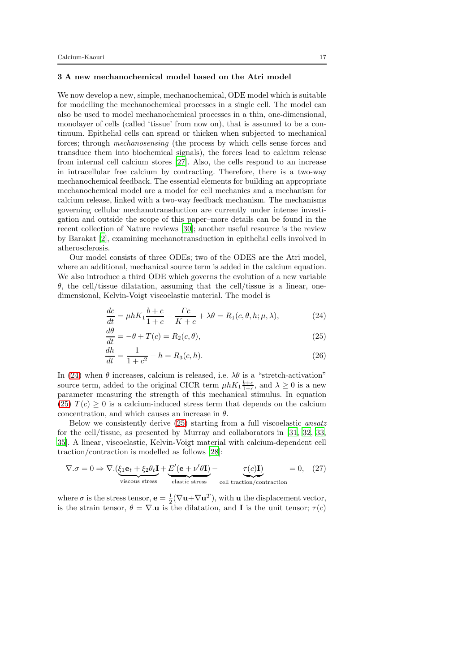### <span id="page-16-0"></span>3 A new mechanochemical model based on the Atri model

We now develop a new, simple, mechanochemical, ODE model which is suitable for modelling the mechanochemical processes in a single cell. The model can also be used to model mechanochemical processes in a thin, one-dimensional, monolayer of cells (called 'tissue' from now on), that is assumed to be a continuum. Epithelial cells can spread or thicken when subjected to mechanical forces; through mechanosensing (the process by which cells sense forces and transduce them into biochemical signals), the forces lead to calcium release from internal cell calcium stores [\[27\]](#page-35-16). Also, the cells respond to an increase in intracellular free calcium by contracting. Therefore, there is a two-way mechanochemical feedback. The essential elements for building an appropriate mechanochemical model are a model for cell mechanics and a mechanism for calcium release, linked with a two-way feedback mechanism. The mechanisms governing cellular mechanotransduction are currently under intense investigation and outside the scope of this paper–more details can be found in the recent collection of Nature reviews [\[30\]](#page-36-16); another useful resource is the review by Barakat [\[2\]](#page-34-9), examining mechanotransduction in epithelial cells involved in atherosclerosis.

Our model consists of three ODEs; two of the ODES are the Atri model, where an additional, mechanical source term is added in the calcium equation. We also introduce a third ODE which governs the evolution of a new variable  $\theta$ , the cell/tissue dilatation, assuming that the cell/tissue is a linear, onedimensional, Kelvin-Voigt viscoelastic material. The model is

<span id="page-16-1"></span>
$$
\frac{dc}{dt} = \mu h K_1 \frac{b+c}{1+c} - \frac{\Gamma c}{K+c} + \lambda \theta = R_1(c, \theta, h; \mu, \lambda),\tag{24}
$$

<span id="page-16-2"></span>
$$
\frac{d\theta}{dt} = -\theta + T(c) = R_2(c, \theta),\tag{25}
$$

<span id="page-16-4"></span><span id="page-16-3"></span>
$$
\frac{dh}{dt} = \frac{1}{1+c^2} - h = R_3(c, h). \tag{26}
$$

In [\(24\)](#page-16-1) when  $\theta$  increases, calcium is released, i.e.  $\lambda\theta$  is a "stretch-activation" source term, added to the original CICR term  $\mu h K_1 \frac{b+c}{1+c}$ , and  $\lambda \geq 0$  is a new parameter measuring the strength of this mechanical stimulus. In equation [\(25\)](#page-16-2)  $T(c) \geq 0$  is a calcium-induced stress term that depends on the calcium concentration, and which causes an increase in  $\theta$ .

Below we consistently derive [\(25\)](#page-16-2) starting from a full viscoelastic ansatz for the cell/tissue, as presented by Murray and collaborators in [\[31](#page-36-0), [32](#page-36-7), [33,](#page-36-8) [35\]](#page-36-9). A linear, viscoelastic, Kelvin-Voigt material with calcium-dependent cell traction/contraction is modelled as follows [\[28\]](#page-35-17):

$$
\nabla \cdot \sigma = 0 \Rightarrow \nabla \cdot \left( \underbrace{\xi_1 \mathbf{e}_t + \xi_2 \theta_t \mathbf{I}}_{\text{viscous stress}} + \underbrace{E'(\mathbf{e} + \nu' \theta \mathbf{I})}_{\text{elastic stress}} - \underbrace{\tau(c) \mathbf{I}}_{\text{cell traction/contraction}} = 0, \quad (27)
$$

where  $\sigma$  is the stress tensor,  $\mathbf{e} = \frac{1}{2}(\nabla \mathbf{u} + \nabla \mathbf{u}^T)$ , with  $\mathbf{u}$  the displacement vector, is the strain tensor,  $\theta = \nabla \cdot \mathbf{u}$  is the dilatation, and **I** is the unit tensor;  $\tau(c)$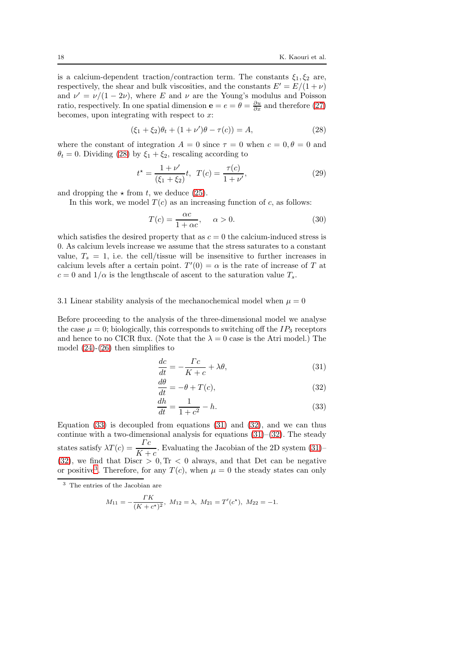is a calcium-dependent traction/contraction term. The constants  $\xi_1, \xi_2$  are, respectively, the shear and bulk viscosities, and the constants  $E' = E/(1 + \nu)$ and  $\nu' = \nu/(1 - 2\nu)$ , where E and  $\nu$  are the Young's modulus and Poisson ratio, respectively. In one spatial dimension  $\mathbf{e} = e = \theta = \frac{\partial u}{\partial x}$  and therefore [\(27\)](#page-16-3) becomes, upon integrating with respect to  $x$ :

<span id="page-17-0"></span>
$$
(\xi_1 + \xi_2)\theta_t + (1 + \nu')\theta - \tau(c)) = A,\tag{28}
$$

where the constant of integration  $A = 0$  since  $\tau = 0$  when  $c = 0, \theta = 0$  and  $\theta_t = 0$ . Dividing [\(28\)](#page-17-0) by  $\xi_1 + \xi_2$ , rescaling according to

$$
t^* = \frac{1 + \nu'}{(\xi_1 + \xi_2)}t, \ \ T(c) = \frac{\tau(c)}{1 + \nu'},\tag{29}
$$

and dropping the  $\star$  from t, we deduce [\(25\)](#page-16-2).

In this work, we model  $T(c)$  as an increasing function of c, as follows:

<span id="page-17-5"></span>
$$
T(c) = \frac{\alpha c}{1 + \alpha c}, \quad \alpha > 0.
$$
 (30)

which satisfies the desired property that as  $c = 0$  the calcium-induced stress is 0. As calcium levels increase we assume that the stress saturates to a constant value,  $T_s = 1$ , i.e. the cell/tissue will be insensitive to further increases in calcium levels after a certain point.  $T'(0) = \alpha$  is the rate of increase of T at  $c = 0$  and  $1/\alpha$  is the lengthscale of ascent to the saturation value  $T_s$ .

# 3.1 Linear stability analysis of the mechanochemical model when  $\mu = 0$

Before proceeding to the analysis of the three-dimensional model we analyse the case  $\mu = 0$ ; biologically, this corresponds to switching off the  $IP_3$  receptors and hence to no CICR flux. (Note that the  $\lambda = 0$  case is the Atri model.) The model  $(24)-(26)$  $(24)-(26)$  then simplifies to

<span id="page-17-2"></span>
$$
\frac{dc}{dt} = -\frac{\Gamma c}{K + c} + \lambda \theta,\tag{31}
$$

$$
\frac{d\theta}{dt} = -\theta + T(c),\tag{32}
$$

<span id="page-17-3"></span><span id="page-17-1"></span>
$$
\frac{dh}{dt} = \frac{1}{1+c^2} - h.\tag{33}
$$

Equation  $(33)$  is decoupled from equations  $(31)$  and  $(32)$ , and we can thus continue with a two-dimensional analysis for equations  $(31)$ – $(32)$ . The steady states satisfy  $\lambda T(c) = \frac{\Gamma c}{K+c}$ . Evaluating the Jacobian of the 2D system [\(31\)](#page-17-2)–  $(32)$ , we find that Discr  $> 0$ , Tr  $< 0$  always, and that Det can be negative or positive<sup>[3](#page-17-4)</sup>. Therefore, for any  $T(c)$ , when  $\mu = 0$  the steady states can only

$$
M_{11} = -\frac{TK}{(K + c^*)^2}, \ M_{12} = \lambda, \ M_{21} = T'(c^*), \ M_{22} = -1.
$$

<span id="page-17-4"></span><sup>3</sup> The entries of the Jacobian are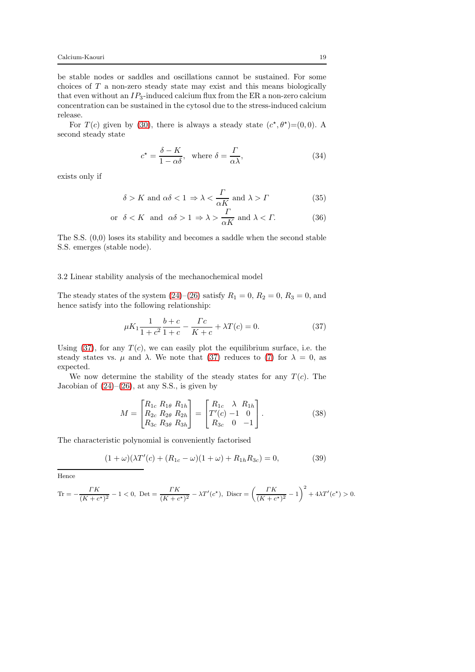be stable nodes or saddles and oscillations cannot be sustained. For some choices of T a non-zero steady state may exist and this means biologically that even without an  $IP_3$ -induced calcium flux from the ER a non-zero calcium concentration can be sustained in the cytosol due to the stress-induced calcium release.

For  $T(c)$  given by [\(30\)](#page-17-5), there is always a steady state  $(c^*, \theta^*) = (0, 0)$ . A second steady state

<span id="page-18-2"></span>
$$
c^* = \frac{\delta - K}{1 - \alpha \delta}, \text{ where } \delta = \frac{\Gamma}{\alpha \lambda}, \tag{34}
$$

exists only if

$$
\delta > K \text{ and } \alpha\delta < 1 \Rightarrow \lambda < \frac{\Gamma}{\alpha K} \text{ and } \lambda > \Gamma
$$
 (35)

$$
\text{or } \delta < K \text{ and } \alpha\delta > 1 \Rightarrow \lambda > \frac{\Gamma}{\alpha K} \text{ and } \lambda < \Gamma. \tag{36}
$$

The S.S. (0,0) loses its stability and becomes a saddle when the second stable S.S. emerges (stable node).

### <span id="page-18-3"></span>3.2 Linear stability analysis of the mechanochemical model

The steady states of the system  $(24)$ – $(26)$  satisfy  $R_1 = 0$ ,  $R_2 = 0$ ,  $R_3 = 0$ , and hence satisfy into the following relationship:

<span id="page-18-0"></span>
$$
\mu K_1 \frac{1}{1+c^2} \frac{b+c}{1+c} - \frac{\Gamma c}{K+c} + \lambda T(c) = 0.
$$
 (37)

Using  $(37)$ , for any  $T(c)$ , we can easily plot the equilibrium surface, i.e. the steady states vs.  $\mu$  and  $\lambda$ . We note that [\(37\)](#page-18-0) reduces to [\(7\)](#page-6-0) for  $\lambda = 0$ , as expected.

We now determine the stability of the steady states for any  $T(c)$ . The Jacobian of  $(24)$ – $(26)$ , at any S.S., is given by

<span id="page-18-1"></span>
$$
M = \begin{bmatrix} R_{1c} & R_{1\theta} & R_{1h} \\ R_{2c} & R_{2\theta} & R_{2h} \\ R_{3c} & R_{3\theta} & R_{3h} \end{bmatrix} = \begin{bmatrix} R_{1c} & \lambda & R_{1h} \\ T'(c) & -1 & 0 \\ R_{3c} & 0 & -1 \end{bmatrix}.
$$
 (38)

The characteristic polynomial is conveniently factorised

$$
(1 + \omega)(\lambda T'(c) + (R_{1c} - \omega)(1 + \omega) + R_{1h}R_{3c}) = 0,
$$
\n(39)

Hence

$$
\text{Tr} = -\frac{\Gamma K}{(K + c^*)^2} - 1 < 0, \text{ Det} = \frac{\Gamma K}{(K + c^*)^2} - \lambda T'(c^*), \text{ Discr} = \left(\frac{\Gamma K}{(K + c^*)^2} - 1\right)^2 + 4\lambda T'(c^*) > 0.
$$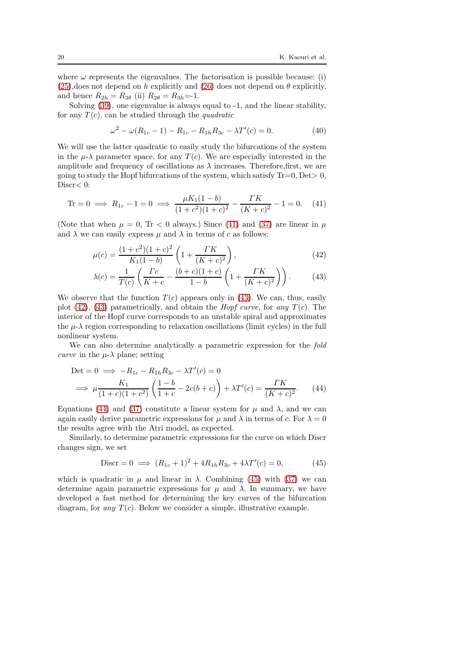where  $\omega$  represents the eigenvalues. The factorisation is possible because: (i)  $(25)$ , does not depend on h explicitly and  $(26)$  does not depend on  $\theta$  explicitly, and hence  $R_{2h} = R_{3\theta}$  (ii)  $R_{2\theta} = R_{3h} = -1$ .

Solving [\(39\)](#page-18-1), one eigenvalue is always equal to -1, and the linear stability, for any  $T(c)$ , can be studied through the *quadratic* 

<span id="page-19-0"></span>
$$
\omega^2 - \omega(R_{1c} - 1) - R_{1c} - R_{1h}R_{3c} - \lambda T'(c) = 0.
$$
 (40)

We will use the latter quadratic to easily study the bifurcations of the system in the  $\mu-\lambda$  parameter space, for any  $T(c)$ . We are especially interested in the amplitude and frequency of oscillations as  $\lambda$  increases. Therefore, first, we are going to study the Hopf bifurcations of the system, which satisfy  $Tr=0$ ,  $Det>0$ , Discr $< 0$ :

Tr = 0 
$$
\implies R_{1c} - 1 = 0 \implies \frac{\mu K_1 (1 - b)}{(1 + c^2)(1 + c)^2} - \frac{\Gamma K}{(K + c)^2} - 1 = 0.
$$
 (41)

(Note that when  $\mu = 0$ , Tr < 0 always.) Since [\(41\)](#page-19-0) and [\(37\)](#page-18-0) are linear in  $\mu$ and  $\lambda$  we can easily express  $\mu$  and  $\lambda$  in terms of c as follows:

$$
\mu(c) = \frac{(1+c^2)(1+c)^2}{K_1(1-b)} \left(1 + \frac{TK}{(K+c)^2}\right),\tag{42}
$$

<span id="page-19-2"></span><span id="page-19-1"></span>
$$
\lambda(c) = \frac{1}{T(c)} \left( \frac{\Gamma c}{K+c} - \frac{(b+c)(1+c)}{1-b} \left( 1 + \frac{\Gamma K}{(K+c)^2} \right) \right). \tag{43}
$$

We observe that the function  $T(c)$  appears only in [\(43\)](#page-19-1). We can, thus, easily plot [\(42\)](#page-19-2), [\(43\)](#page-19-1) parametrically, and obtain the *Hopf curve*, for any  $T(c)$ . The interior of the Hopf curve corresponds to an unstable spiral and approximates the  $\mu$ - $\lambda$  region corresponding to relaxation oscillations (limit cycles) in the full nonlinear system.

We can also determine analytically a parametric expression for the fold *curve* in the  $\mu$ - $\lambda$  plane; setting

$$
\text{Det} = 0 \implies -R_{1c} - R_{1h}R_{3c} - \lambda T'(c) = 0
$$
\n
$$
\implies \mu \frac{K_1}{(1+c)(1+c^2)} \left( \frac{1-b}{1+c} - 2c(b+c) \right) + \lambda T'(c) = \frac{TK}{(K+c)^2}.
$$
\n(44)

Equations [\(44\)](#page-19-3) and [\(37\)](#page-18-0) constitute a linear system for  $\mu$  and  $\lambda$ , and we can again easily derive parametric expressions for  $\mu$  and  $\lambda$  in terms of c. For  $\lambda = 0$ the results agree with the Atri model, as expected.

Similarly, to determine parametric expressions for the curve on which Discr changes sign, we set

<span id="page-19-4"></span><span id="page-19-3"></span>
$$
Discr = 0 \implies (R_{1c} + 1)^2 + 4R_{1h}R_{3c} + 4\lambda T'(c) = 0,
$$
\n(45)

which is quadratic in  $\mu$  and linear in  $\lambda$ . Combining [\(45\)](#page-19-4) with [\(37\)](#page-18-0) we can determine again parametric expressions for  $\mu$  and  $\lambda$ . In summary, we have developed a fast method for determining the key curves of the bifurcation diagram, for any  $T(c)$ . Below we consider a simple, illustrative example.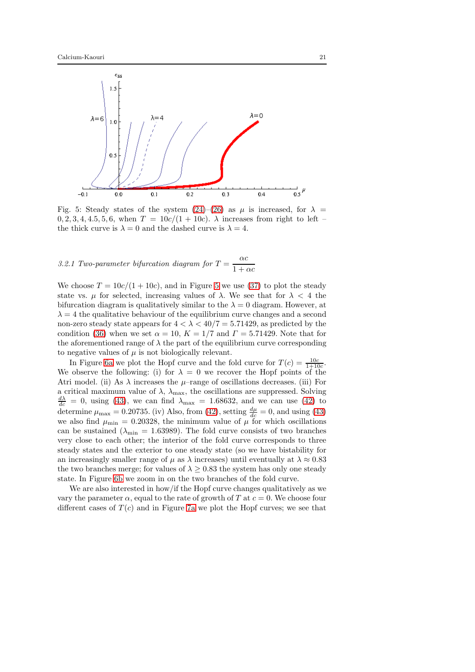<span id="page-20-0"></span>

Fig. 5: Steady states of the system  $(24)$ – $(26)$  as  $\mu$  is increased, for  $\lambda =$  $0, 2, 3, 4, 4, 5, 5, 6$ , when  $T = 10c/(1 + 10c)$ .  $\lambda$  increases from right to left – the thick curve is  $\lambda = 0$  and the dashed curve is  $\lambda = 4$ .

# 3.2.1 Two-parameter bifurcation diagram for  $T = \frac{\alpha c}{1+r^2}$  $1 + \alpha c$

We choose  $T = 10c/(1 + 10c)$ , and in Figure [5](#page-20-0) we use [\(37\)](#page-18-0) to plot the steady state vs.  $\mu$  for selected, increasing values of  $\lambda$ . We see that for  $\lambda < 4$  the bifurcation diagram is qualitatively similar to the  $\lambda = 0$  diagram. However, at  $\lambda = 4$  the qualitative behaviour of the equilibrium curve changes and a second non-zero steady state appears for  $4 < \lambda < 40/7 = 5.71429$ , as predicted by the condition [\(36\)](#page-18-2) when we set  $\alpha = 10$ ,  $K = 1/7$  and  $\Gamma = 5.71429$ . Note that for the aforementioned range of  $\lambda$  the part of the equilibrium curve corresponding to negative values of  $\mu$  is not biologically relevant.

In Figure [6a](#page-21-0) we plot the Hopf curve and the fold curve for  $T(c) = \frac{10c}{1+10c}$ . We observe the following: (i) for  $\lambda = 0$  we recover the Hopf points of the Atri model. (ii) As  $\lambda$  increases the  $\mu$ -range of oscillations decreases. (iii) For a critical maximum value of  $\lambda$ ,  $\lambda_{\text{max}}$ , the oscillations are suppressed. Solving  $\frac{d\lambda}{dc} = 0$ , using [\(43\)](#page-19-1), we can find  $\lambda_{\text{max}} = 1.68632$ , and we can use [\(42\)](#page-19-2) to determine  $\mu_{\text{max}} = 0.20735$ . (iv) Also, from [\(42\)](#page-19-2), setting  $\frac{d\mu}{dc} = 0$ , and using [\(43\)](#page-19-1) we also find  $\mu_{\min} = 0.20328$ , the minimum value of  $\mu$  for which oscillations can be sustained ( $\lambda_{\text{min}} = 1.63989$ ). The fold curve consists of two branches very close to each other; the interior of the fold curve corresponds to three steady states and the exterior to one steady state (so we have bistability for an increasingly smaller range of  $\mu$  as  $\lambda$  increases) until eventually at  $\lambda \approx 0.83$ the two branches merge; for values of  $\lambda \geq 0.83$  the system has only one steady state. In Figure [6b](#page-21-0) we zoom in on the two branches of the fold curve.

We are also interested in how/if the Hopf curve changes qualitatively as we vary the parameter  $\alpha$ , equal to the rate of growth of T at  $c = 0$ . We choose four different cases of  $T(c)$  and in Figure [7a](#page-23-0) we plot the Hopf curves; we see that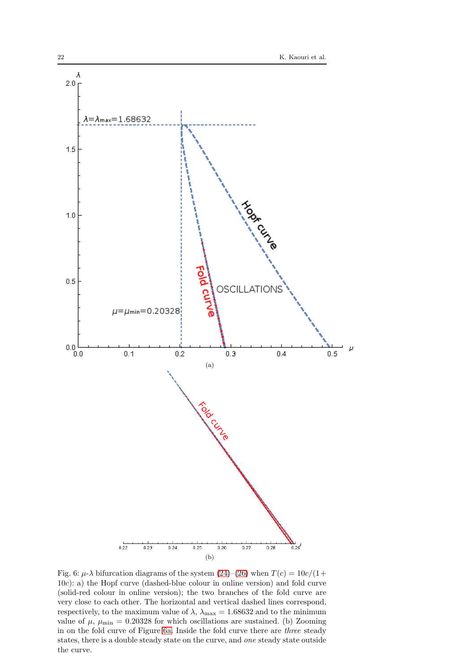<span id="page-21-0"></span>

Fig. 6:  $\mu$ - $\lambda$  bifurcation diagrams of the system [\(24\)](#page-16-1)–[\(26\)](#page-16-4) when  $T(c) = 10c/(1 +$ 10c): a) the Hopf curve (dashed-blue colour in online version) and fold curve (solid-red colour in online version); the two branches of the fold curve are very close to each other. The horizontal and vertical dashed lines correspond, respectively, to the maximum value of  $\lambda,$   $\lambda_{\text{max}}=1.68632$  and to the minimum value of  $\mu$ ,  $\mu_{\min} = 0.20328$  for which oscillations are sustained. (b) Zooming in on the fold curve of Figure [6a.](#page-21-0) Inside the fold curve there are three steady states, there is a double steady state on the curve, and one steady state outside the curve.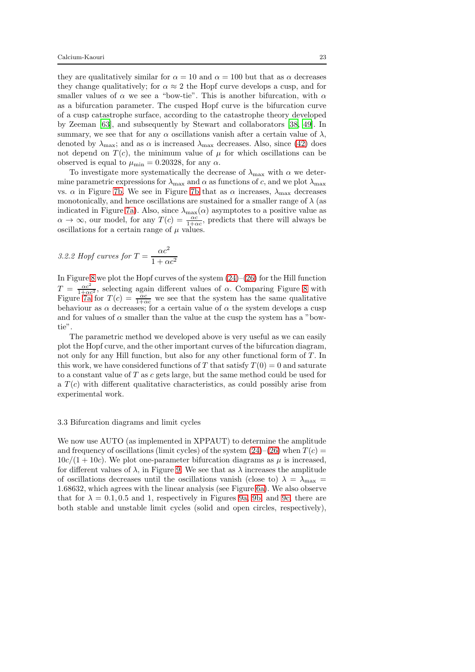they are qualitatively similar for  $\alpha = 10$  and  $\alpha = 100$  but that as  $\alpha$  decreases they change qualitatively; for  $\alpha \approx 2$  the Hopf curve develops a cusp, and for smaller values of  $\alpha$  we see a "bow-tie". This is another bifurcation, with  $\alpha$ as a bifurcation parameter. The cusped Hopf curve is the bifurcation curve of a cusp catastrophe surface, according to the catastrophe theory developed by Zeeman [\[63\]](#page-37-15), and subsequently by Stewart and collaborators [\[38,](#page-36-17) [49\]](#page-37-16). In summary, we see that for any  $\alpha$  oscillations vanish after a certain value of  $\lambda$ , denoted by  $\lambda_{\text{max}}$ ; and as  $\alpha$  is increased  $\lambda_{\text{max}}$  decreases. Also, since [\(42\)](#page-19-2) does not depend on  $T(c)$ , the minimum value of  $\mu$  for which oscillations can be observed is equal to  $\mu_{\min} = 0.20328$ , for any  $\alpha$ .

To investigate more systematically the decrease of  $\lambda_{\text{max}}$  with  $\alpha$  we determine parametric expressions for  $\lambda_{\text{max}}$  and  $\alpha$  as functions of c, and we plot  $\lambda_{\text{max}}$ vs.  $\alpha$  in Figure [7b.](#page-23-0) We see in Figure [7b](#page-23-0) that as  $\alpha$  increases,  $\lambda_{\text{max}}$  decreases monotonically, and hence oscillations are sustained for a smaller range of  $\lambda$  (as indicated in Figure [7a\)](#page-23-0). Also, since  $\lambda_{\text{max}}(\alpha)$  asymptotes to a positive value as  $\alpha \to \infty$ , our model, for any  $T(c) = \frac{\alpha c}{1+\alpha c}$ , predicts that there will always be oscillations for a certain range of  $\mu$  values.

3.2.2 Hopf curves for 
$$
T = \frac{\alpha c^2}{1 + \alpha c^2}
$$

In Figure [8](#page-24-0) we plot the Hopf curves of the system  $(24)–(26)$  $(24)–(26)$  for the Hill function  $T = \frac{\alpha c^2}{1+\alpha c^2}$ , selecting again different values of  $\alpha$ . Comparing Figure [8](#page-24-0) with Figure [7a](#page-23-0) for  $T(c) = \frac{\alpha c}{1+\alpha c}$  we see that the system has the same qualitative behaviour as  $\alpha$  decreases; for a certain value of  $\alpha$  the system develops a cusp and for values of  $\alpha$  smaller than the value at the cusp the system has a "bowtie".

The parametric method we developed above is very useful as we can easily plot the Hopf curve, and the other important curves of the bifurcation diagram, not only for any Hill function, but also for any other functional form of T. In this work, we have considered functions of T that satisfy  $T(0) = 0$  and saturate to a constant value of  $T$  as  $c$  gets large, but the same method could be used for a  $T(c)$  with different qualitative characteristics, as could possibly arise from experimental work.

### 3.3 Bifurcation diagrams and limit cycles

We now use AUTO (as implemented in XPPAUT) to determine the amplitude and frequency of oscillations (limit cycles) of the system  $(24)$ – $(26)$  when  $T(c)$  =  $10c/(1+10c)$ . We plot one-parameter bifurcation diagrams as  $\mu$  is increased, for different values of  $\lambda$ , in Figure [9.](#page-25-0) We see that as  $\lambda$  increases the amplitude of oscillations decreases until the oscillations vanish (close to)  $\lambda = \lambda_{\text{max}} =$ 1.68632, which agrees with the linear analysis (see Figure [6a\)](#page-21-0). We also observe that for  $\lambda = 0.1, 0.5$  and 1, respectively in Figures [9a, 9b,](#page-25-0) and [9c,](#page-25-0) there are both stable and unstable limit cycles (solid and open circles, respectively),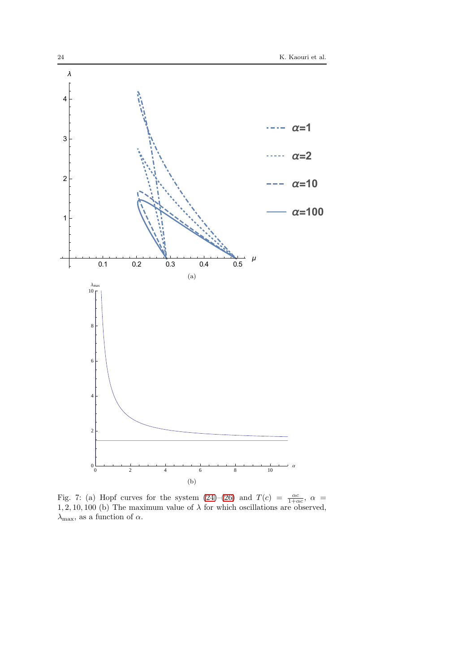<span id="page-23-0"></span>

Fig. 7: (a) Hopf curves for the system  $(24)-(26)$  $(24)-(26)$  and  $T(c) = \frac{\alpha c}{1+\alpha c}$ ,  $\alpha =$  $1, 2, 10, 100$  (b) The maximum value of  $\lambda$  for which oscillations are observed,  $\lambda_{\text{max}},$  as a function of  $\alpha.$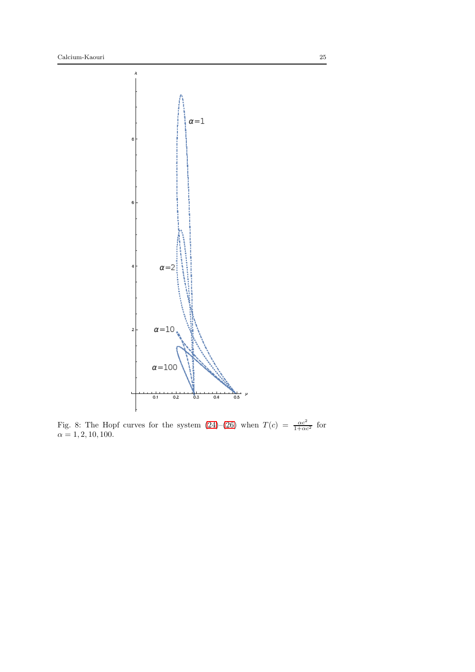<span id="page-24-0"></span>

Fig. 8: The Hopf curves for the system  $(24)-(26)$  $(24)-(26)$  when  $T(c) = \frac{\alpha c^2}{1+\alpha c^2}$  for  $\alpha = 1, 2, 10, 100.$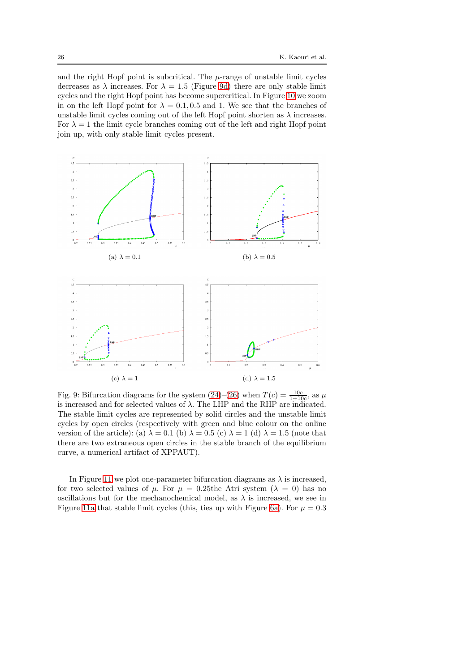and the right Hopf point is subcritical. The  $\mu$ -range of unstable limit cycles decreases as  $\lambda$  increases. For  $\lambda = 1.5$  (Figure [9d\)](#page-25-0) there are only stable limit cycles and the right Hopf point has become supercritical. In Figure [10](#page-26-0) we zoom in on the left Hopf point for  $\lambda = 0.1, 0.5$  and 1. We see that the branches of unstable limit cycles coming out of the left Hopf point shorten as  $\lambda$  increases. For  $\lambda = 1$  the limit cycle branches coming out of the left and right Hopf point join up, with only stable limit cycles present.

<span id="page-25-0"></span>

Fig. 9: Bifurcation diagrams for the system  $(24)$ – $(26)$  when  $T(c) = \frac{10c}{1+10c}$ , as  $\mu$ is increased and for selected values of  $\lambda$ . The LHP and the RHP are indicated. The stable limit cycles are represented by solid circles and the unstable limit cycles by open circles (respectively with green and blue colour on the online version of the article): (a)  $\lambda = 0.1$  (b)  $\lambda = 0.5$  (c)  $\lambda = 1$  (d)  $\lambda = 1.5$  (note that there are two extraneous open circles in the stable branch of the equilibrium curve, a numerical artifact of XPPAUT).

In Figure [11](#page-27-0) we plot one-parameter bifurcation diagrams as  $\lambda$  is increased, for two selected values of  $\mu$ . For  $\mu = 0.25$ the Atri system  $(\lambda = 0)$  has no oscillations but for the mechanochemical model, as  $\lambda$  is increased, we see in Figure [11a](#page-27-0) that stable limit cycles (this, ties up with Figure [6a\)](#page-21-0). For  $\mu = 0.3$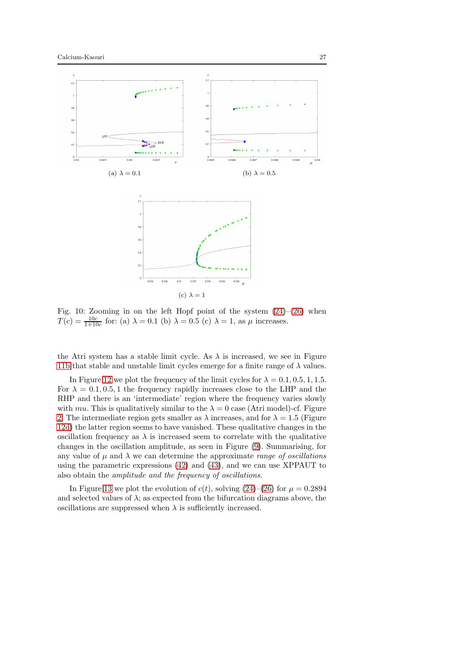<span id="page-26-0"></span>

Fig. 10: Zooming in on the left Hopf point of the system [\(24\)](#page-16-1)–[\(26\)](#page-16-4) when  $T(c) = \frac{10c}{1+10c}$  for: (a)  $\lambda = 0.1$  (b)  $\lambda = 0.5$  (c)  $\lambda = 1$ , as  $\mu$  increases.

the Atri system has a stable limit cycle. As  $\lambda$  is increased, we see in Figure [11b](#page-27-0) that stable and unstable limit cycles emerge for a finite range of  $\lambda$  values.

In Figure [12](#page-28-0) we plot the frequency of the limit cycles for  $\lambda = 0.1, 0.5, 1, 1.5$ . For  $\lambda = 0.1, 0.5, 1$  the frequency rapidly increases close to the LHP and the RHP and there is an 'intermediate' region where the frequency varies slowly with mu. This is qualitatively similar to the  $\lambda = 0$  case (Atri model)-cf. Figure [2.](#page-10-0) The intermediate region gets smaller as  $\lambda$  increases, and for  $\lambda = 1.5$  (Figure [12d\)](#page-28-0) the latter region seems to have vanished. These qualitative changes in the oscillation frequency as  $\lambda$  is increased seem to correlate with the qualitative changes in the oscillation amplitude, as seen in Figure [\(9\)](#page-25-0). Summarising, for any value of  $\mu$  and  $\lambda$  we can determine the approximate *range of oscillations* using the parametric expressions [\(42\)](#page-19-2) and [\(43\)](#page-19-1), and we can use XPPAUT to also obtain the amplitude and the frequency of oscillations.

In Figure [13](#page-29-0) we plot the evolution of  $c(t)$ , solving  $(24)$ – $(26)$  for  $\mu = 0.2894$ and selected values of  $\lambda$ ; as expected from the bifurcation diagrams above, the oscillations are suppressed when  $\lambda$  is sufficiently increased.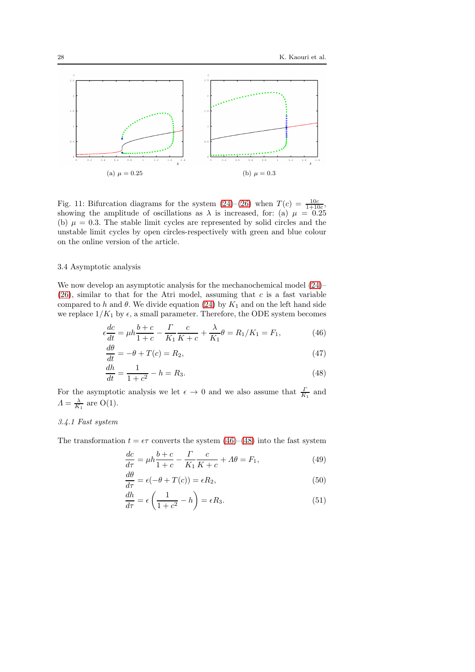<span id="page-27-0"></span>

Fig. 11: Bifurcation diagrams for the system  $(24)$ – $(26)$  when  $T(c) = \frac{10c}{1+10c}$ , showing the amplitude of oscillations as  $\lambda$  is increased, for: (a)  $\mu = 0.25$ (b)  $\mu = 0.3$ . The stable limit cycles are represented by solid circles and the unstable limit cycles by open circles-respectively with green and blue colour on the online version of the article.

# 3.4 Asymptotic analysis

We now develop an asymptotic analysis for the mechanochemical model  $(24)$ –  $(26)$ , similar to that for the Atri model, assuming that c is a fast variable compared to h and  $\theta$ . We divide equation [\(24\)](#page-16-1) by  $K_1$  and on the left hand side we replace  $1/K_1$  by  $\epsilon$ , a small parameter. Therefore, the ODE system becomes

$$
\epsilon \frac{dc}{dt} = \mu h \frac{b+c}{1+c} - \frac{\Gamma}{K_1} \frac{c}{K+c} + \frac{\lambda}{K_1} \theta = R_1/K_1 = F_1,
$$
 (46)

<span id="page-27-5"></span><span id="page-27-1"></span>
$$
\frac{d\theta}{dt} = -\theta + T(c) = R_2,\tag{47}
$$

$$
\frac{dh}{dt} = \frac{1}{1+c^2} - h = R_3.
$$
\n(48)

For the asymptotic analysis we let  $\epsilon \to 0$  and we also assume that  $\frac{\Gamma}{K_1}$  and  $\Lambda = \frac{\lambda}{K_1}$  are O(1).

# 3.4.1 Fast system

The transformation  $t = \epsilon \tau$  converts the system [\(46\)](#page-27-1)–[\(48\)](#page-27-2) into the fast system

<span id="page-27-3"></span><span id="page-27-2"></span>
$$
\frac{dc}{d\tau} = \mu h \frac{b+c}{1+c} - \frac{\Gamma}{K_1} \frac{c}{K+c} + \Lambda \theta = F_1,\tag{49}
$$

$$
\frac{d\theta}{d\tau} = \epsilon(-\theta + T(c)) = \epsilon R_2,\tag{50}
$$

<span id="page-27-4"></span>
$$
\frac{dh}{d\tau} = \epsilon \left( \frac{1}{1+c^2} - h \right) = \epsilon R_3. \tag{51}
$$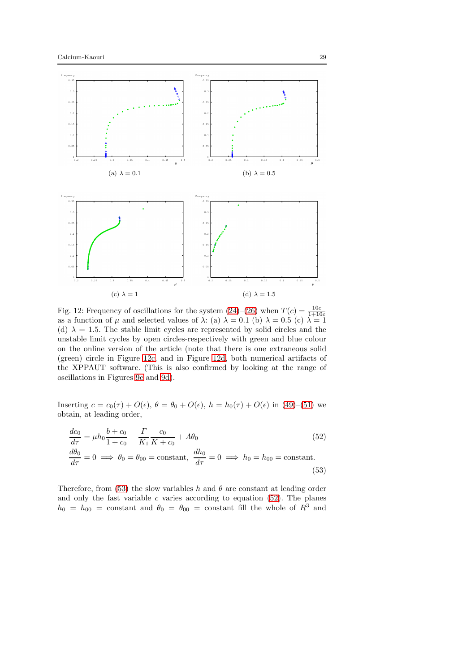<span id="page-28-0"></span>

Fig. 12: Frequency of oscillations for the system  $(24)$ – $(26)$  when  $T(c) = \frac{10c}{1+10c}$  as a function of  $\mu$  and selected values of  $\lambda$ : (a)  $\lambda = 0.1$  (b)  $\lambda = 0.5$  (c)  $\lambda = 1$ (d)  $\lambda = 1.5$ . The stable limit cycles are represented by solid circles and the unstable limit cycles by open circles-respectively with green and blue colour on the online version of the article (note that there is one extraneous solid (green) circle in Figure [12c,](#page-28-0) and in Figure [12d,](#page-28-0) both numerical artifacts of the XPPAUT software. (This is also confirmed by looking at the range of oscillations in Figures [9c](#page-25-0) and [9d\)](#page-25-0).

Inserting  $c = c_0(\tau) + O(\epsilon)$ ,  $\theta = \theta_0 + O(\epsilon)$ ,  $h = h_0(\tau) + O(\epsilon)$  in [\(49\)](#page-27-3)–[\(51\)](#page-27-4) we obtain, at leading order,

<span id="page-28-2"></span><span id="page-28-1"></span>
$$
\frac{dc_0}{d\tau} = \mu h_0 \frac{b + c_0}{1 + c_0} - \frac{\Gamma}{K_1} \frac{c_0}{K + c_0} + A\theta_0
$$
\n
$$
\frac{d\theta_0}{d\tau} = 0 \implies \theta_0 = \theta_{00} = \text{constant}, \quad \frac{dh_0}{d\tau} = 0 \implies h_0 = h_{00} = \text{constant}.
$$
\n(53)

Therefore, from [\(53\)](#page-28-1) the slow variables h and  $\theta$  are constant at leading order and only the fast variable  $c$  varies according to equation [\(52\)](#page-28-2). The planes  $h_0 = h_{00}$  = constant and  $\theta_0 = \theta_{00}$  = constant fill the whole of  $R^3$  and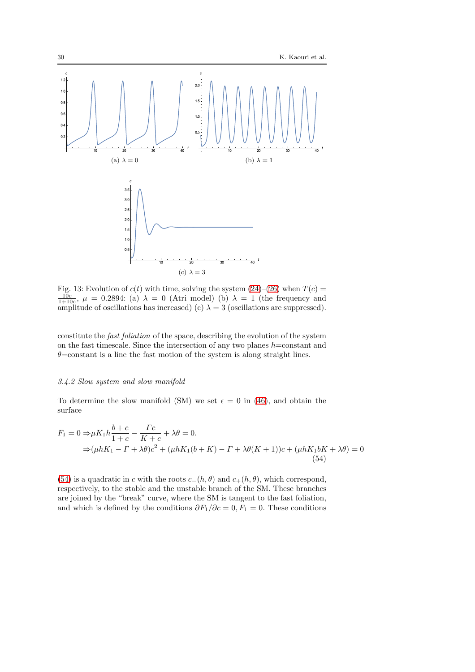<span id="page-29-0"></span>

Fig. 13: Evolution of  $c(t)$  with time, solving the system  $(24)$ – $(26)$  when  $T(c) = \frac{10c}{1+10c}$ ,  $\mu = 0.2894$ : (a)  $\lambda = 0$  (Atri model) (b)  $\lambda = 1$  (the frequency and amplitude of oscillations has increased) (c)  $\lambda = 3$  (oscillations are suppressed).

constitute the fast foliation of the space, describing the evolution of the system on the fast timescale. Since the intersection of any two planes  $h$ =constant and  $\theta$ =constant is a line the fast motion of the system is along straight lines.

### 3.4.2 Slow system and slow manifold

To determine the slow manifold (SM) we set  $\epsilon = 0$  in [\(46\)](#page-27-1), and obtain the surface

<span id="page-29-1"></span>
$$
F_1 = 0 \Rightarrow \mu K_1 h \frac{b+c}{1+c} - \frac{\Gamma c}{K+c} + \lambda \theta = 0.
$$
  
\n
$$
\Rightarrow (\mu h K_1 - \Gamma + \lambda \theta) c^2 + (\mu h K_1 (b+K) - \Gamma + \lambda \theta (K+1)) c + (\mu h K_1 b K + \lambda \theta) = 0
$$
  
\n(54)

[\(54\)](#page-29-1) is a quadratic in c with the roots  $c_-(h, \theta)$  and  $c_+(h, \theta)$ , which correspond, respectively, to the stable and the unstable branch of the SM. These branches are joined by the "break" curve, where the SM is tangent to the fast foliation, and which is defined by the conditions  $\partial F_1/\partial c = 0, F_1 = 0$ . These conditions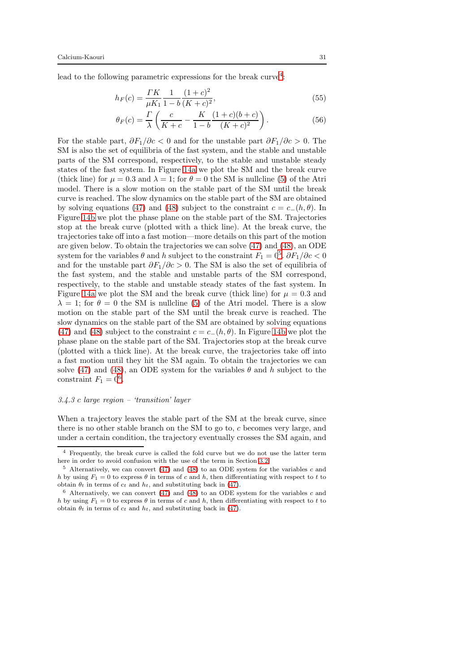lead to the following parametric expressions for the break curve<sup>[4](#page-30-0)</sup>:

$$
h_F(c) = \frac{TK}{\mu K_1} \frac{1}{1 - b} \frac{(1 + c)^2}{(K + c)^2},\tag{55}
$$

<span id="page-30-4"></span><span id="page-30-3"></span>
$$
\theta_F(c) = \frac{\Gamma}{\lambda} \left( \frac{c}{K+c} - \frac{K}{1-b} \frac{(1+c)(b+c)}{(K+c)^2} \right). \tag{56}
$$

For the stable part,  $\partial F_1/\partial c < 0$  and for the unstable part  $\partial F_1/\partial c > 0$ . The SM is also the set of equilibria of the fast system, and the stable and unstable parts of the SM correspond, respectively, to the stable and unstable steady states of the fast system. In Figure [14a](#page-31-0) we plot the SM and the break curve (thick line) for  $\mu = 0.3$  and  $\lambda = 1$ ; for  $\theta = 0$  the SM is nullcline [\(5\)](#page-6-1) of the Atri model. There is a slow motion on the stable part of the SM until the break curve is reached. The slow dynamics on the stable part of the SM are obtained by solving equations [\(47\)](#page-27-5) and [\(48\)](#page-27-2) subject to the constraint  $c = c_-(h, \theta)$ . In Figure [14b](#page-31-0) we plot the phase plane on the stable part of the SM. Trajectories stop at the break curve (plotted with a thick line). At the break curve, the trajectories take off into a fast motion—more details on this part of the motion are given below. To obtain the trajectories we can solve [\(47\)](#page-27-5) and [\(48\)](#page-27-2), an ODE system for the variables  $\theta$  and h subject to the constraint  $F_1 = 0^5$  $F_1 = 0^5$ .  $\partial F_1 / \partial c < 0$ and for the unstable part  $\partial F_1/\partial c > 0$ . The SM is also the set of equilibria of the fast system, and the stable and unstable parts of the SM correspond, respectively, to the stable and unstable steady states of the fast system. In Figure [14a](#page-31-0) we plot the SM and the break curve (thick line) for  $\mu = 0.3$  and  $\lambda = 1$ ; for  $\theta = 0$  the SM is nullcline [\(5\)](#page-6-1) of the Atri model. There is a slow motion on the stable part of the SM until the break curve is reached. The slow dynamics on the stable part of the SM are obtained by solving equations [\(47\)](#page-27-5) and [\(48\)](#page-27-2) subject to the constraint  $c = c_-(h, \theta)$ . In Figure [14b](#page-31-0) we plot the phase plane on the stable part of the SM. Trajectories stop at the break curve (plotted with a thick line). At the break curve, the trajectories take off into a fast motion until they hit the SM again. To obtain the trajectories we can solve [\(47\)](#page-27-5) and [\(48\)](#page-27-2), an ODE system for the variables  $\theta$  and h subject to the constraint  $F_1 = 0^6$  $F_1 = 0^6$ .

#### 3.4.3 c large region – 'transition' layer

When a trajectory leaves the stable part of the SM at the break curve, since there is no other stable branch on the SM to go to, c becomes very large, and under a certain condition, the trajectory eventually crosses the SM again, and

<span id="page-30-0"></span><sup>4</sup> Frequently, the break curve is called the fold curve but we do not use the latter term here in order to avoid confusion with the use of the term in Section [3.2](#page-18-3)

<span id="page-30-1"></span> $5$  Alternatively, we can convert [\(47\)](#page-27-5) and [\(48\)](#page-27-2) to an ODE system for the variables  $c$  and h by using  $F_1 = 0$  to express  $\theta$  in terms of c and h, then differentiating with respect to t to obtain  $\theta_t$  in terms of  $c_t$  and  $h_t$ , and substituting back in [\(47\)](#page-27-5).

<span id="page-30-2"></span> $6$  Alternatively, we can convert [\(47\)](#page-27-5) and [\(48\)](#page-27-2) to an ODE system for the variables c and h by using  $F_1 = 0$  to express  $\theta$  in terms of c and h, then differentiating with respect to t to obtain  $\theta_t$  in terms of  $c_t$  and  $h_t$ , and substituting back in [\(47\)](#page-27-5).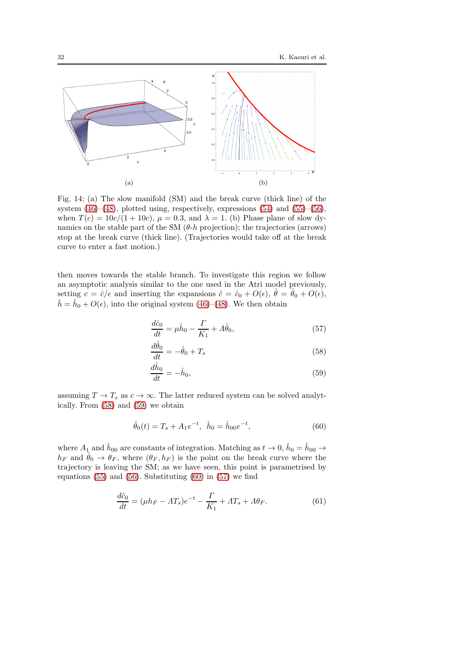<span id="page-31-0"></span>

Fig. 14: (a) The slow manifold (SM) and the break curve (thick line) of the system  $(46)$ – $(48)$ , plotted using, respectively, expressions  $(54)$  and  $(55)$ – $(56)$ , when  $T(c) = 10c/(1+10c)$ ,  $\mu = 0.3$ , and  $\lambda = 1$ . (b) Phase plane of slow dynamics on the stable part of the SM  $(\theta-h)$  projection); the trajectories (arrows) stop at the break curve (thick line). (Trajectories would take off at the break curve to enter a fast motion.)

then moves towards the stable branch. To investigate this region we follow an asymptotic analysis similar to the one used in the Atri model previously, setting  $c = \hat{c}/\epsilon$  and inserting the expansions  $\hat{c} = \hat{c}_0 + O(\epsilon)$ ,  $\hat{\theta} = \hat{\theta}_0 + O(\epsilon)$ ,  $\hat{h} = \hat{h}_0 + O(\epsilon)$ , into the original system [\(46\)](#page-27-1)–[\(48\)](#page-27-2). We then obtain

<span id="page-31-4"></span>
$$
\frac{d\hat{c}_0}{dt} = \mu \hat{h}_0 - \frac{\Gamma}{K_1} + \Lambda \hat{\theta}_0,\tag{57}
$$

<span id="page-31-1"></span>
$$
\frac{d\hat{\theta}_0}{dt} = -\hat{\theta}_0 + T_s \tag{58}
$$

<span id="page-31-3"></span><span id="page-31-2"></span>
$$
\frac{d\hat{h}_0}{dt} = -\hat{h}_0,\tag{59}
$$

assuming  $T \to T_s$  as  $c \to \infty$ . The latter reduced system can be solved analytically. From [\(58\)](#page-31-1) and [\(59\)](#page-31-2) we obtain

<span id="page-31-5"></span>
$$
\hat{\theta}_0(t) = T_s + A_1 e^{-t}, \quad \hat{h}_0 = \hat{h}_{00} e^{-t}, \tag{60}
$$

where  $A_1$  and  $\hat{h}_{00}$  are constants of integration. Matching as  $t \to 0$ ,  $\hat{h}_0 = \hat{h}_{00} \to$  $h_F$  and  $\hat{\theta}_0 \rightarrow \theta_F$ , where  $(\theta_F, h_F)$  is the point on the break curve where the trajectory is leaving the SM; as we have seen, this point is parametrised by equations  $(55)$  and  $(56)$ . Substituting  $(60)$  in  $(57)$  we find

$$
\frac{d\hat{c}_0}{dt} = (\mu h_F - AT_s)e^{-t} - \frac{\Gamma}{K_1} + AT_s + A\theta_F.
$$
 (61)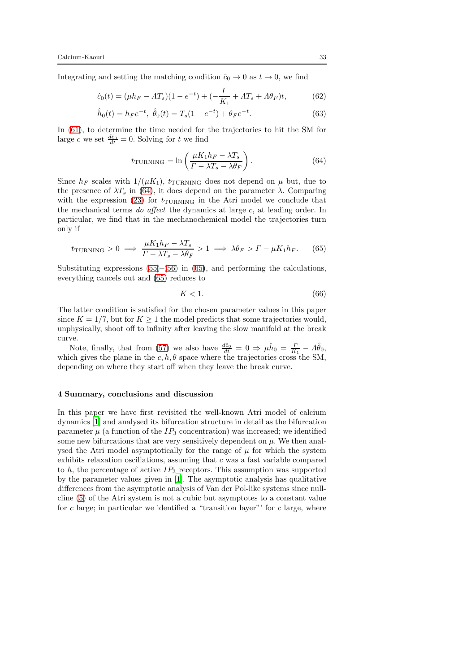Integrating and setting the matching condition  $\hat{c}_0 \to 0$  as  $t \to 0$ , we find

$$
\hat{c}_0(t) = (\mu h_F - AT_s)(1 - e^{-t}) + (-\frac{\Gamma}{K_1} + AT_s + A\theta_F)t, \tag{62}
$$

$$
\hat{h}_0(t) = h_F e^{-t}, \ \hat{\theta}_0(t) = T_s (1 - e^{-t}) + \theta_F e^{-t}.
$$
\n(63)

In [\(61\)](#page-31-5), to determine the time needed for the trajectories to hit the SM for large c we set  $\frac{d\hat{c}_0}{dt} = 0$ . Solving for t we find

<span id="page-32-1"></span>
$$
t_{\text{TURNING}} = \ln\left(\frac{\mu K_1 h_F - \lambda T_s}{\Gamma - \lambda T_s - \lambda \theta_F}\right). \tag{64}
$$

Since  $h_F$  scales with  $1/(\mu K_1)$ ,  $t_{\text{TURNING}}$  does not depend on  $\mu$  but, due to the presence of  $\lambda T_s$  in [\(64\)](#page-32-1), it does depend on the parameter  $\lambda$ . Comparing with the expression [\(23\)](#page-15-4) for  $t_{\text{TURNING}}$  in the Atri model we conclude that the mechanical terms do affect the dynamics at large c, at leading order. In particular, we find that in the mechanochemical model the trajectories turn only if

$$
t_{\text{TURNING}} > 0 \implies \frac{\mu K_1 h_F - \lambda T_s}{\Gamma - \lambda T_s - \lambda \theta_F} > 1 \implies \lambda \theta_F > \Gamma - \mu K_1 h_F. \tag{65}
$$

Substituting expressions  $(55)$ – $(56)$  in  $(65)$ , and performing the calculations, everything cancels out and [\(65\)](#page-32-2) reduces to

<span id="page-32-2"></span>
$$
K < 1. \tag{66}
$$

The latter condition is satisfied for the chosen parameter values in this paper since  $K = 1/7$ , but for  $K \geq 1$  the model predicts that some trajectories would, unphysically, shoot off to infinity after leaving the slow manifold at the break curve.

Note, finally, that from [\(57\)](#page-31-4) we also have  $\frac{d\hat{c}_0}{dt} = 0 \Rightarrow \mu \hat{h}_0 = \frac{\Gamma}{K_1} - \Lambda \hat{\theta}_0$ , which gives the plane in the  $c, h, \theta$  space where the trajectories cross the SM, depending on where they start off when they leave the break curve.

### <span id="page-32-0"></span>4 Summary, conclusions and discussion

In this paper we have first revisited the well-known Atri model of calcium dynamics [\[1](#page-34-0)] and analysed its bifurcation structure in detail as the bifurcation parameter  $\mu$  (a function of the  $IP_3$  concentration) was increased; we identified some new bifurcations that are very sensitively dependent on  $\mu$ . We then analysed the Atri model asymptotically for the range of  $\mu$  for which the system exhibits relaxation oscillations, assuming that c was a fast variable compared to h, the percentage of active  $IP_3$  receptors. This assumption was supported by the parameter values given in [\[1](#page-34-0)]. The asymptotic analysis has qualitative differences from the asymptotic analysis of Van der Pol-like systems since nullcline [\(5\)](#page-6-1) of the Atri system is not a cubic but asymptotes to a constant value for c large; in particular we identified a "transition layer"' for c large, where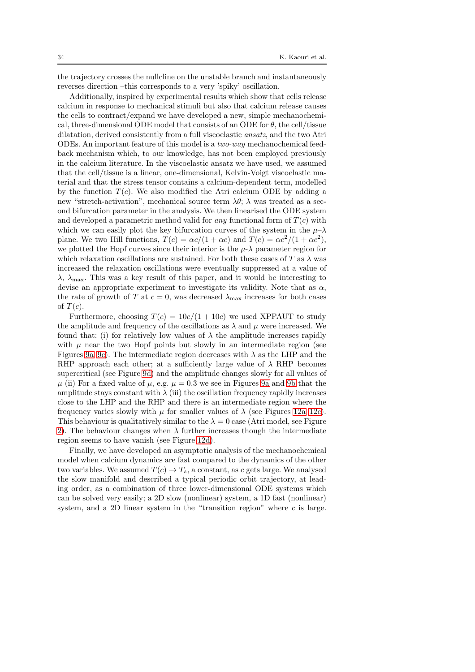the trajectory crosses the nullcline on the unstable branch and instantaneously reverses direction –this corresponds to a very 'spiky' oscillation.

Additionally, inspired by experimental results which show that cells release calcium in response to mechanical stimuli but also that calcium release causes the cells to contract/expand we have developed a new, simple mechanochemical, three-dimensional ODE model that consists of an ODE for  $\theta$ , the cell/tissue dilatation, derived consistently from a full viscoelastic ansatz, and the two Atri ODEs. An important feature of this model is a two-way mechanochemical feedback mechanism which, to our knowledge, has not been employed previously in the calcium literature. In the viscoelastic ansatz we have used, we assumed that the cell/tissue is a linear, one-dimensional, Kelvin-Voigt viscoelastic material and that the stress tensor contains a calcium-dependent term, modelled by the function  $T(c)$ . We also modified the Atri calcium ODE by adding a new "stretch-activation", mechanical source term  $\lambda \theta$ ;  $\lambda$  was treated as a second bifurcation parameter in the analysis. We then linearised the ODE system and developed a parametric method valid for any functional form of  $T(c)$  with which we can easily plot the key bifurcation curves of the system in the  $\mu-\lambda$ plane. We two Hill functions,  $T(c) = \alpha c/(1 + \alpha c)$  and  $T(c) = \alpha c^2/(1 + \alpha c^2)$ , we plotted the Hopf curves since their interior is the  $\mu$ - $\lambda$  parameter region for which relaxation oscillations are sustained. For both these cases of T as  $\lambda$  was increased the relaxation oscillations were eventually suppressed at a value of  $\lambda$ ,  $\lambda_{\text{max}}$ . This was a key result of this paper, and it would be interesting to devise an appropriate experiment to investigate its validity. Note that as  $\alpha$ , the rate of growth of T at  $c = 0$ , was decreased  $\lambda_{\text{max}}$  increases for both cases of  $T(c)$ .

Furthermore, choosing  $T(c) = 10c/(1+10c)$  we used XPPAUT to study the amplitude and frequency of the oscillations as  $\lambda$  and  $\mu$  were increased. We found that: (i) for relatively low values of  $\lambda$  the amplitude increases rapidly with  $\mu$  near the two Hopf points but slowly in an intermediate region (see Figures [9a–9c\)](#page-25-0). The intermediate region decreases with  $\lambda$  as the LHP and the RHP approach each other; at a sufficiently large value of  $\lambda$  RHP becomes supercritical (see Figure [9d\)](#page-25-0) and the amplitude changes slowly for all values of  $\mu$  (ii) For a fixed value of  $\mu$ , e.g.  $\mu = 0.3$  we see in Figures [9a](#page-25-0) and [9b](#page-25-0) that the amplitude stays constant with  $\lambda$  (iii) the oscillation frequency rapidly increases close to the LHP and the RHP and there is an intermediate region where the frequency varies slowly with  $\mu$  for smaller values of  $\lambda$  (see Figures [12a–12c\)](#page-28-0). This behaviour is qualitatively similar to the  $\lambda = 0$  case (Atri model, see Figure [2\)](#page-10-0). The behaviour changes when  $\lambda$  further increases though the intermediate region seems to have vanish (see Figure [12d\)](#page-28-0).

Finally, we have developed an asymptotic analysis of the mechanochemical model when calcium dynamics are fast compared to the dynamics of the other two variables. We assumed  $T(c) \rightarrow T_s$ , a constant, as c gets large. We analysed the slow manifold and described a typical periodic orbit trajectory, at leading order, as a combination of three lower-dimensional ODE systems which can be solved very easily; a 2D slow (nonlinear) system, a 1D fast (nonlinear) system, and a 2D linear system in the "transition region" where  $c$  is large.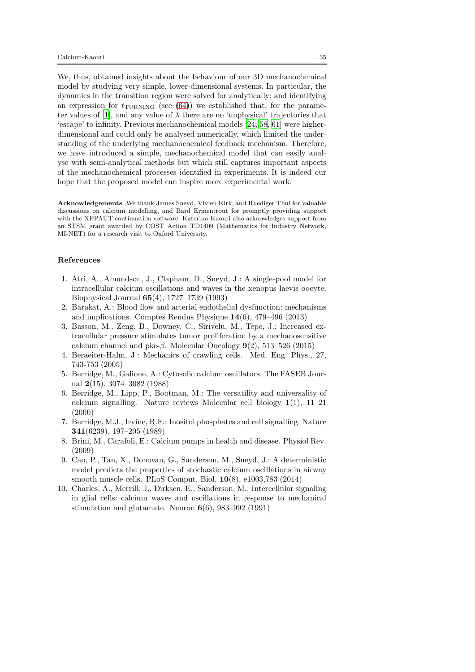We, thus, obtained insights about the behaviour of our 3D mechanochemical model by studying very simple, lower-dimensional systems. In particular, the dynamics in the transition region were solved for analytically; and identifying an expression for  $t_{\text{TURNING}}$  (see [\(64\)](#page-32-1)) we established that, for the parame-ter values of [\[1\]](#page-34-0), and any value of  $\lambda$  there are no 'unphysical' trajectories that 'escape' to infinity. Previous mechanochemical models [\[24,](#page-35-12) [58](#page-37-13), [61\]](#page-37-14) were higherdimensional and could only be analysed numerically, which limited the understanding of the underlying mechanochemical feedback mechanism. Therefore, we have introduced a simple, mechanochemical model that can easily analyse with semi-analytical methods but which still captures important aspects of the mechanochemical processes identified in experiments. It is indeed our hope that the proposed model can inspire more experimental work.

Acknowledgements We thank James Sneyd, Vivien Kirk, and Ruediger Thul for valuable discussions on calcium modelling, and Bard Ermentrout for promptly providing support with the XPPAUT continuation software. Katerina Kaouri also acknowledges support from an STSM grant awarded by COST Action TD1409 (Mathematics for Industry Network, MI-NET) for a research visit to Oxford University.

### References

- <span id="page-34-0"></span>1. Atri, A., Amundson, J., Clapham, D., Sneyd, J.: A single-pool model for intracellular calcium oscillations and waves in the xenopus laevis oocyte. Biophysical Journal 65(4), 1727–1739 (1993)
- <span id="page-34-9"></span>2. Barakat, A.: Blood flow and arterial endothelial dysfunction: mechanisms and implications. Comptes Rendus Physique 14(6), 479–496 (2013)
- <span id="page-34-5"></span>3. Basson, M., Zeng, B., Downey, C., Sirivelu, M., Tepe, J.: Increased extracellular pressure stimulates tumor proliferation by a mechanosensitive calcium channel and pkc- $\beta$ . Molecular Oncology 9(2), 513–526 (2015)
- <span id="page-34-4"></span>4. Beraeiter-Hahn, J.: Mechanics of crawling cells. Med. Eng. Phys., 27, 743-753 (2005)
- <span id="page-34-7"></span>5. Berridge, M., Galione, A.: Cytosolic calcium oscillators. The FASEB Journal 2(15), 3074–3082 (1988)
- <span id="page-34-1"></span>6. Berridge, M., Lipp, P., Bootman, M.: The versatility and universality of calcium signalling. Nature reviews Molecular cell biology  $1(1)$ ,  $11-21$ (2000)
- <span id="page-34-8"></span>7. Berridge, M.J., Irvine, R.F.: Inositol phosphates and cell signalling. Nature 341(6239), 197–205 (1989)
- <span id="page-34-2"></span>8. Brini, M., Carafoli, E.: Calcium pumps in health and disease. Physiol Rev. (2009)
- <span id="page-34-6"></span>9. Cao, P., Tan, X., Donovan, G., Sanderson, M., Sneyd, J.: A deterministic model predicts the properties of stochastic calcium oscillations in airway smooth muscle cells. PLoS Comput. Biol. 10(8), e1003,783 (2014)
- <span id="page-34-3"></span>10. Charles, A., Merrill, J., Dirksen, E., Sanderson, M.: Intercellular signaling in glial cells: calcium waves and oscillations in response to mechanical stimulation and glutamate. Neuron  $6(6)$ , 983–992 (1991)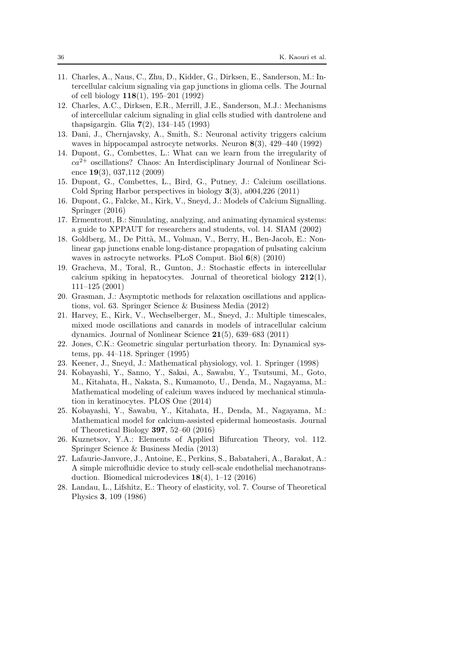- <span id="page-35-5"></span>11. Charles, A., Naus, C., Zhu, D., Kidder, G., Dirksen, E., Sanderson, M.: Intercellular calcium signaling via gap junctions in glioma cells. The Journal of cell biology 118(1), 195–201 (1992)
- <span id="page-35-6"></span>12. Charles, A.C., Dirksen, E.R., Merrill, J.E., Sanderson, M.J.: Mechanisms of intercellular calcium signaling in glial cells studied with dantrolene and thapsigargin. Glia 7(2), 134–145 (1993)
- <span id="page-35-7"></span>13. Dani, J., Chernjavsky, A., Smith, S.: Neuronal activity triggers calcium waves in hippocampal astrocyte networks. Neuron 8(3), 429–440 (1992)
- <span id="page-35-0"></span>14. Dupont, G., Combettes, L.: What can we learn from the irregularity of  $ca<sup>2+</sup>$  oscillations? Chaos: An Interdisciplinary Journal of Nonlinear Science 19(3), 037,112 (2009)
- <span id="page-35-1"></span>15. Dupont, G., Combettes, L., Bird, G., Putney, J.: Calcium oscillations. Cold Spring Harbor perspectives in biology 3(3), a004,226 (2011)
- <span id="page-35-2"></span>16. Dupont, G., Falcke, M., Kirk, V., Sneyd, J.: Models of Calcium Signalling. Springer (2016)
- <span id="page-35-14"></span>17. Ermentrout, B.: Simulating, analyzing, and animating dynamical systems: a guide to XPPAUT for researchers and students, vol. 14. SIAM (2002)
- <span id="page-35-8"></span>18. Goldberg, M., De Pittà, M., Volman, V., Berry, H., Ben-Jacob, E.: Nonlinear gap junctions enable long-distance propagation of pulsating calcium waves in astrocyte networks. PLoS Comput. Biol 6(8) (2010)
- <span id="page-35-9"></span>19. Gracheva, M., Toral, R., Gunton, J.: Stochastic effects in intercellular calcium spiking in hepatocytes. Journal of theoretical biology  $212(1)$ , 111–125 (2001)
- <span id="page-35-4"></span>20. Grasman, J.: Asymptotic methods for relaxation oscillations and applications, vol. 63. Springer Science & Business Media (2012)
- <span id="page-35-11"></span>21. Harvey, E., Kirk, V., Wechselberger, M., Sneyd, J.: Multiple timescales, mixed mode oscillations and canards in models of intracellular calcium dynamics. Journal of Nonlinear Science 21(5), 639–683 (2011)
- <span id="page-35-10"></span>22. Jones, C.K.: Geometric singular perturbation theory. In: Dynamical systems, pp. 44–118. Springer (1995)
- <span id="page-35-3"></span>23. Keener, J., Sneyd, J.: Mathematical physiology, vol. 1. Springer (1998)
- <span id="page-35-12"></span>24. Kobayashi, Y., Sanno, Y., Sakai, A., Sawabu, Y., Tsutsumi, M., Goto, M., Kitahata, H., Nakata, S., Kumamoto, U., Denda, M., Nagayama, M.: Mathematical modeling of calcium waves induced by mechanical stimulation in keratinocytes. PLOS One (2014)
- <span id="page-35-13"></span>25. Kobayashi, Y., Sawabu, Y., Kitahata, H., Denda, M., Nagayama, M.: Mathematical model for calcium-assisted epidermal homeostasis. Journal of Theoretical Biology 397, 52–60 (2016)
- <span id="page-35-15"></span>26. Kuznetsov, Y.A.: Elements of Applied Bifurcation Theory, vol. 112. Springer Science & Business Media (2013)
- <span id="page-35-16"></span>27. Lafaurie-Janvore, J., Antoine, E., Perkins, S., Babataheri, A., Barakat, A.: A simple microfluidic device to study cell-scale endothelial mechanotransduction. Biomedical microdevices 18(4), 1–12 (2016)
- <span id="page-35-17"></span>28. Landau, L., Lifshitz, E.: Theory of elasticity, vol. 7. Course of Theoretical Physics 3, 109 (1986)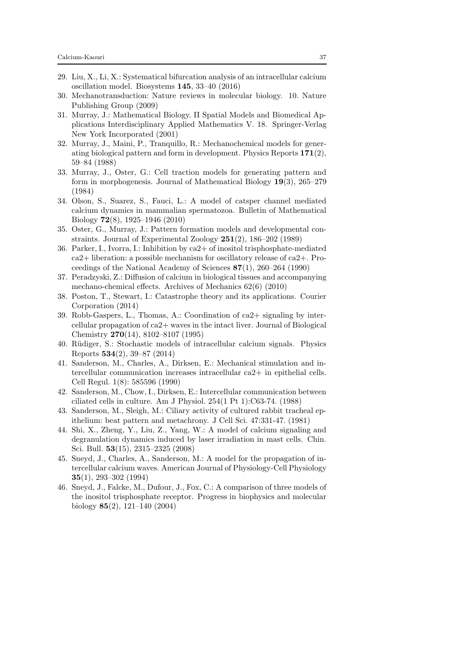- <span id="page-36-13"></span>29. Liu, X., Li, X.: Systematical bifurcation analysis of an intracellular calcium oscillation model. Biosystems 145, 33–40 (2016)
- <span id="page-36-16"></span>30. Mechanotransduction: Nature reviews in molecular biology. 10. Nature Publishing Group (2009)
- <span id="page-36-0"></span>31. Murray, J.: Mathematical Biology. II Spatial Models and Biomedical Applications Interdisciplinary Applied Mathematics V. 18. Springer-Verlag New York Incorporated (2001)
- <span id="page-36-7"></span>32. Murray, J., Maini, P., Tranquillo, R.: Mechanochemical models for generating biological pattern and form in development. Physics Reports 171(2), 59–84 (1988)
- <span id="page-36-8"></span>33. Murray, J., Oster, G.: Cell traction models for generating pattern and form in morphogenesis. Journal of Mathematical Biology 19(3), 265–279 (1984)
- <span id="page-36-12"></span>34. Olson, S., Suarez, S., Fauci, L.: A model of catsper channel mediated calcium dynamics in mammalian spermatozoa. Bulletin of Mathematical Biology 72(8), 1925–1946 (2010)
- <span id="page-36-9"></span>35. Oster, G., Murray, J.: Pattern formation models and developmental constraints. Journal of Experimental Zoology 251(2), 186–202 (1989)
- <span id="page-36-15"></span>36. Parker, I., Ivorra, I.: Inhibition by ca2+ of inositol trisphosphate-mediated ca2+ liberation: a possible mechanism for oscillatory release of ca2+. Proceedings of the National Academy of Sciences 87(1), 260–264 (1990)
- <span id="page-36-10"></span>37. Peradzyski, Z.: Diffusion of calcium in biological tissues and accompanying mechano-chemical effects. Archives of Mechanics 62(6) (2010)
- <span id="page-36-17"></span>38. Poston, T., Stewart, I.: Catastrophe theory and its applications. Courier Corporation (2014)
- <span id="page-36-4"></span>39. Robb-Gaspers, L., Thomas, A.: Coordination of ca2+ signaling by intercellular propagation of ca2+ waves in the intact liver. Journal of Biological Chemistry 270(14), 8102–8107 (1995)
- <span id="page-36-6"></span>40. Rüdiger, S.: Stochastic models of intracellular calcium signals. Physics Reports 534(2), 39–87 (2014)
- <span id="page-36-1"></span>41. Sanderson, M., Charles, A., Dirksen, E.: Mechanical stimulation and intercellular communication increases intracellular ca2+ in epithelial cells. Cell Regul. 1(8): 585596 (1990)
- <span id="page-36-2"></span>42. Sanderson, M., Chow, I., Dirksen, E.: Intercellular communication between ciliated cells in culture. Am J Physiol. 254(1 Pt 1):C63-74. (1988)
- <span id="page-36-3"></span>43. Sanderson, M., Sleigh, M.: Ciliary activity of cultured rabbit tracheal epithelium: beat pattern and metachrony. J Cell Sci. 47:331-47. (1981)
- <span id="page-36-14"></span>44. Shi, X., Zheng, Y., Liu, Z., Yang, W.: A model of calcium signaling and degranulation dynamics induced by laser irradiation in mast cells. Chin. Sci. Bull. 53(15), 2315–2325 (2008)
- <span id="page-36-5"></span>45. Sneyd, J., Charles, A., Sanderson, M.: A model for the propagation of intercellular calcium waves. American Journal of Physiology-Cell Physiology 35(1), 293–302 (1994)
- <span id="page-36-11"></span>46. Sneyd, J., Falcke, M., Dufour, J., Fox, C.: A comparison of three models of the inositol trisphosphate receptor. Progress in biophysics and molecular biology 85(2), 121–140 (2004)